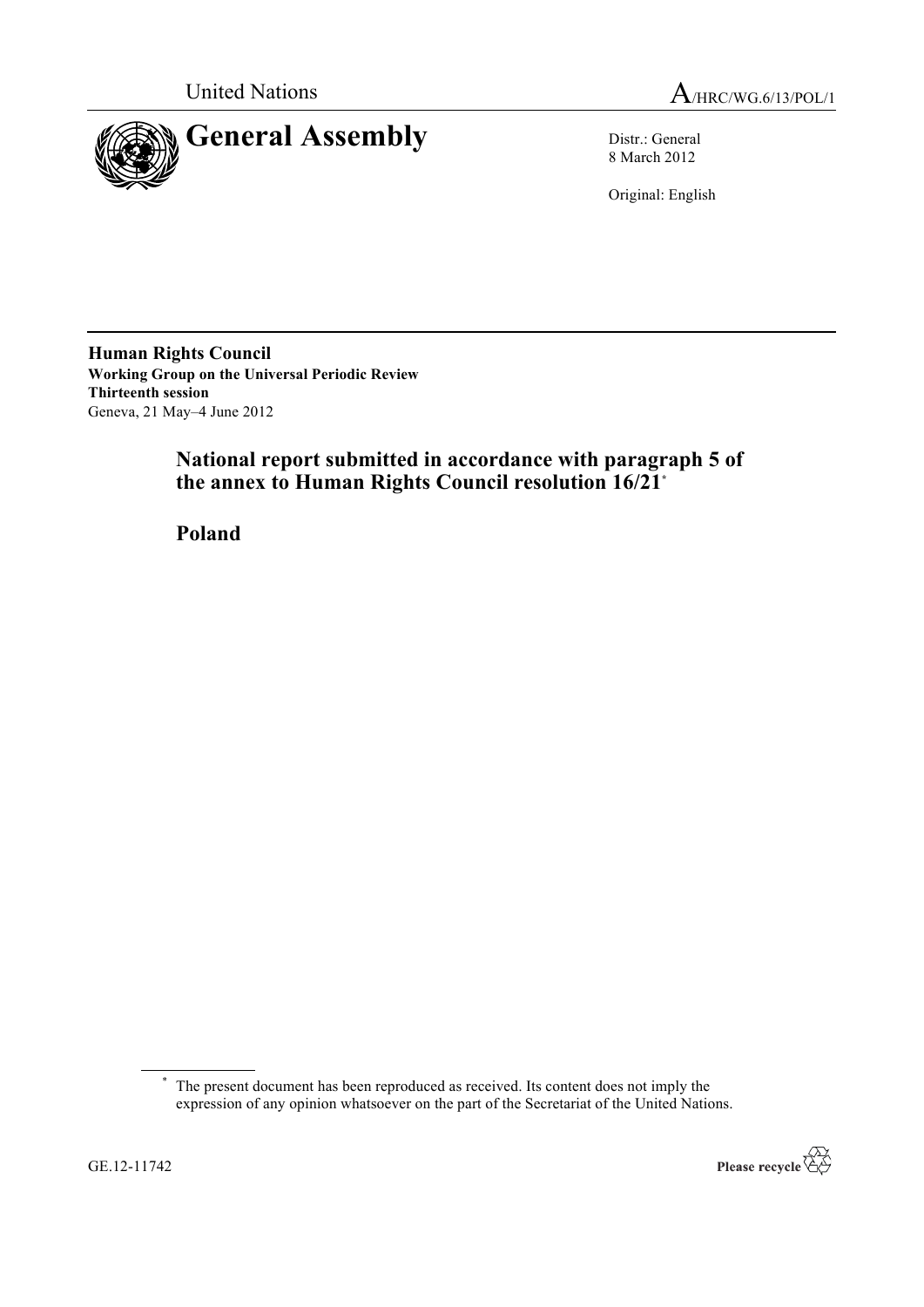



8 March 2012

Original: English

**Human Rights Council Working Group on the Universal Periodic Review Thirteenth session** Geneva, 21 May–4 June 2012

# **National report submitted in accordance with paragraph 5 of the annex to Human Rights Council resolution 16/21\***

**Poland**

<sup>\*</sup> The present document has been reproduced as received. Its content does not imply the expression of any opinion whatsoever on the part of the Secretariat of the United Nations.

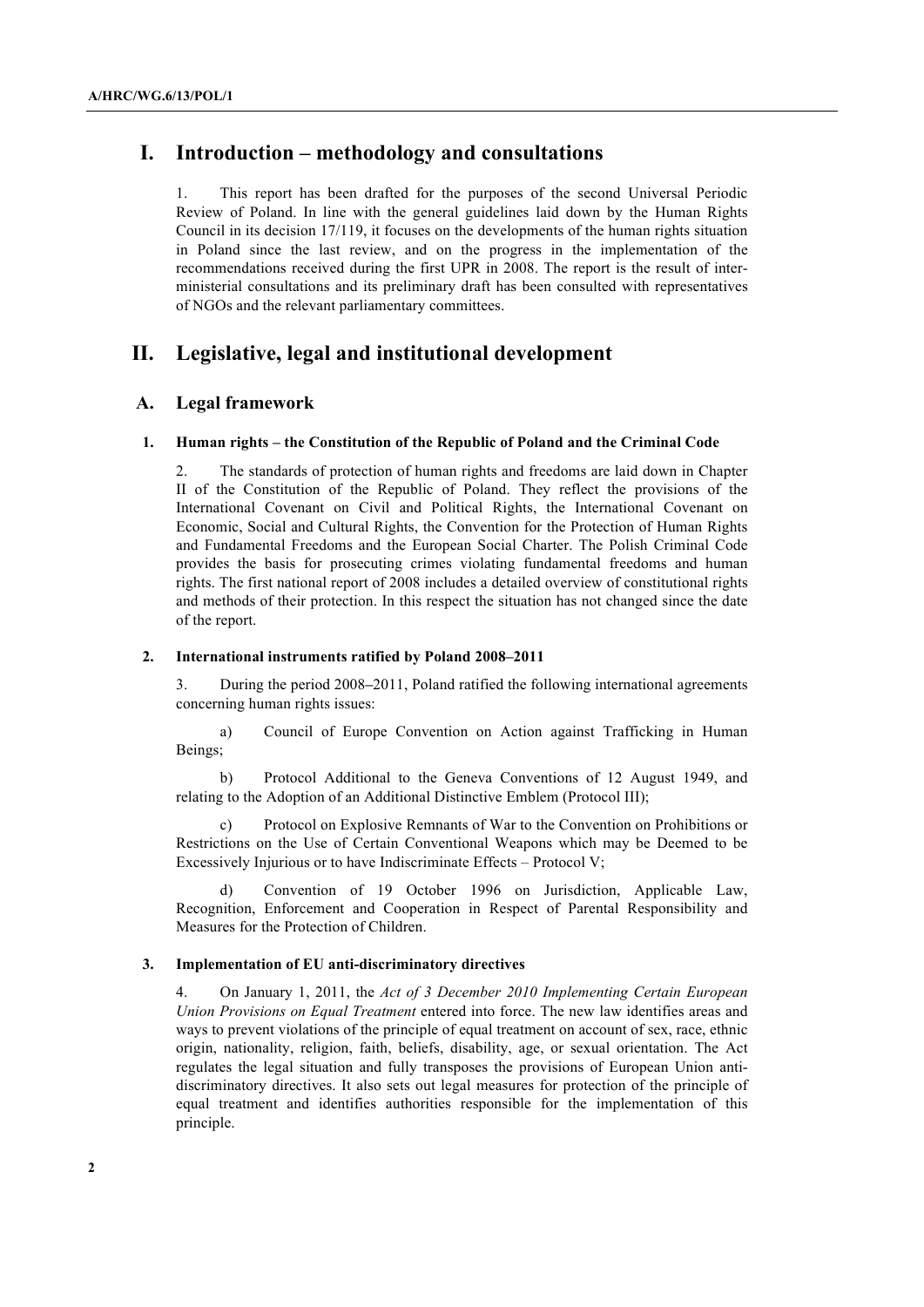# **I. Introduction – methodology and consultations**

1. This report has been drafted for the purposes of the second Universal Periodic Review of Poland. In line with the general guidelines laid down by the Human Rights Council in its decision 17/119, it focuses on the developments of the human rights situation in Poland since the last review, and on the progress in the implementation of the recommendations received during the first UPR in 2008. The report is the result of interministerial consultations and its preliminary draft has been consulted with representatives of NGOs and the relevant parliamentary committees.

# **II. Legislative, legal and institutional development**

# **A. Legal framework**

# **1. Human rights – the Constitution of the Republic of Poland and the Criminal Code**

2. The standards of protection of human rights and freedoms are laid down in Chapter II of the Constitution of the Republic of Poland. They reflect the provisions of the International Covenant on Civil and Political Rights, the International Covenant on Economic, Social and Cultural Rights, the Convention for the Protection of Human Rights and Fundamental Freedoms and the European Social Charter. The Polish Criminal Code provides the basis for prosecuting crimes violating fundamental freedoms and human rights. The first national report of 2008 includes a detailed overview of constitutional rights and methods of their protection. In this respect the situation has not changed since the date of the report.

#### **2. International instruments ratified by Poland 2008–2011**

3. During the period 2008**–**2011, Poland ratified the following international agreements concerning human rights issues:

a) Council of Europe Convention on Action against Trafficking in Human Beings;

b) Protocol Additional to the Geneva Conventions of 12 August 1949, and relating to the Adoption of an Additional Distinctive Emblem (Protocol III);

Protocol on Explosive Remnants of War to the Convention on Prohibitions or Restrictions on the Use of Certain Conventional Weapons which may be Deemed to be Excessively Injurious or to have Indiscriminate Effects – Protocol V;

d) Convention of 19 October 1996 on Jurisdiction, Applicable Law, Recognition, Enforcement and Cooperation in Respect of Parental Responsibility and Measures for the Protection of Children.

# **3. Implementation of EU anti-discriminatory directives**

4. On January 1, 2011, the *Act of 3 December 2010 Implementing Certain European Union Provisions on Equal Treatment* entered into force. The new law identifies areas and ways to prevent violations of the principle of equal treatment on account of sex, race, ethnic origin, nationality, religion, faith, beliefs, disability, age, or sexual orientation. The Act regulates the legal situation and fully transposes the provisions of European Union antidiscriminatory directives. It also sets out legal measures for protection of the principle of equal treatment and identifies authorities responsible for the implementation of this principle.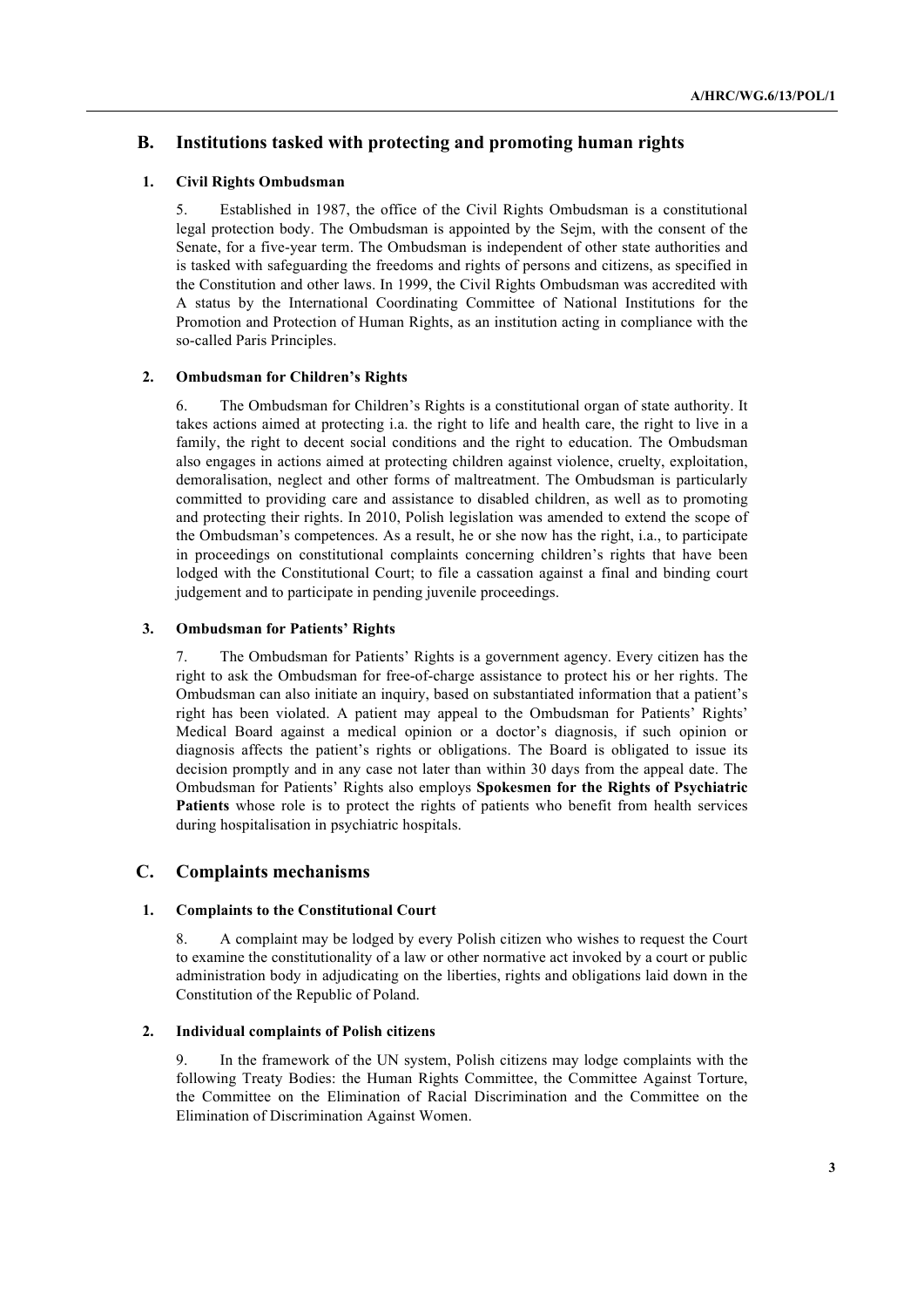# **B. Institutions tasked with protecting and promoting human rights**

# **1. Civil Rights Ombudsman**

5. Established in 1987, the office of the Civil Rights Ombudsman is a constitutional legal protection body. The Ombudsman is appointed by the Sejm, with the consent of the Senate, for a five-year term. The Ombudsman is independent of other state authorities and is tasked with safeguarding the freedoms and rights of persons and citizens, as specified in the Constitution and other laws. In 1999, the Civil Rights Ombudsman was accredited with A status by the International Coordinating Committee of National Institutions for the Promotion and Protection of Human Rights, as an institution acting in compliance with the so-called Paris Principles.

# **2. Ombudsman for Children's Rights**

6. The Ombudsman for Children's Rights is a constitutional organ of state authority. It takes actions aimed at protecting i.a. the right to life and health care, the right to live in a family, the right to decent social conditions and the right to education. The Ombudsman also engages in actions aimed at protecting children against violence, cruelty, exploitation, demoralisation, neglect and other forms of maltreatment. The Ombudsman is particularly committed to providing care and assistance to disabled children, as well as to promoting and protecting their rights. In 2010, Polish legislation was amended to extend the scope of the Ombudsman's competences. As a result, he or she now has the right, i.a., to participate in proceedings on constitutional complaints concerning children's rights that have been lodged with the Constitutional Court; to file a cassation against a final and binding court judgement and to participate in pending juvenile proceedings.

### **3. Ombudsman for Patients' Rights**

7. The Ombudsman for Patients' Rights is a government agency. Every citizen has the right to ask the Ombudsman for free-of-charge assistance to protect his or her rights. The Ombudsman can also initiate an inquiry, based on substantiated information that a patient's right has been violated. A patient may appeal to the Ombudsman for Patients' Rights' Medical Board against a medical opinion or a doctor's diagnosis, if such opinion or diagnosis affects the patient's rights or obligations. The Board is obligated to issue its decision promptly and in any case not later than within 30 days from the appeal date. The Ombudsman for Patients' Rights also employs **Spokesmen for the Rights of Psychiatric Patients** whose role is to protect the rights of patients who benefit from health services during hospitalisation in psychiatric hospitals.

# **C. Complaints mechanisms**

### **1. Complaints to the Constitutional Court**

8. A complaint may be lodged by every Polish citizen who wishes to request the Court to examine the constitutionality of a law or other normative act invoked by a court or public administration body in adjudicating on the liberties, rights and obligations laid down in the Constitution of the Republic of Poland.

### **2. Individual complaints of Polish citizens**

9. In the framework of the UN system, Polish citizens may lodge complaints with the following Treaty Bodies: the Human Rights Committee, the Committee Against Torture, the Committee on the Elimination of Racial Discrimination and the Committee on the Elimination of Discrimination Against Women.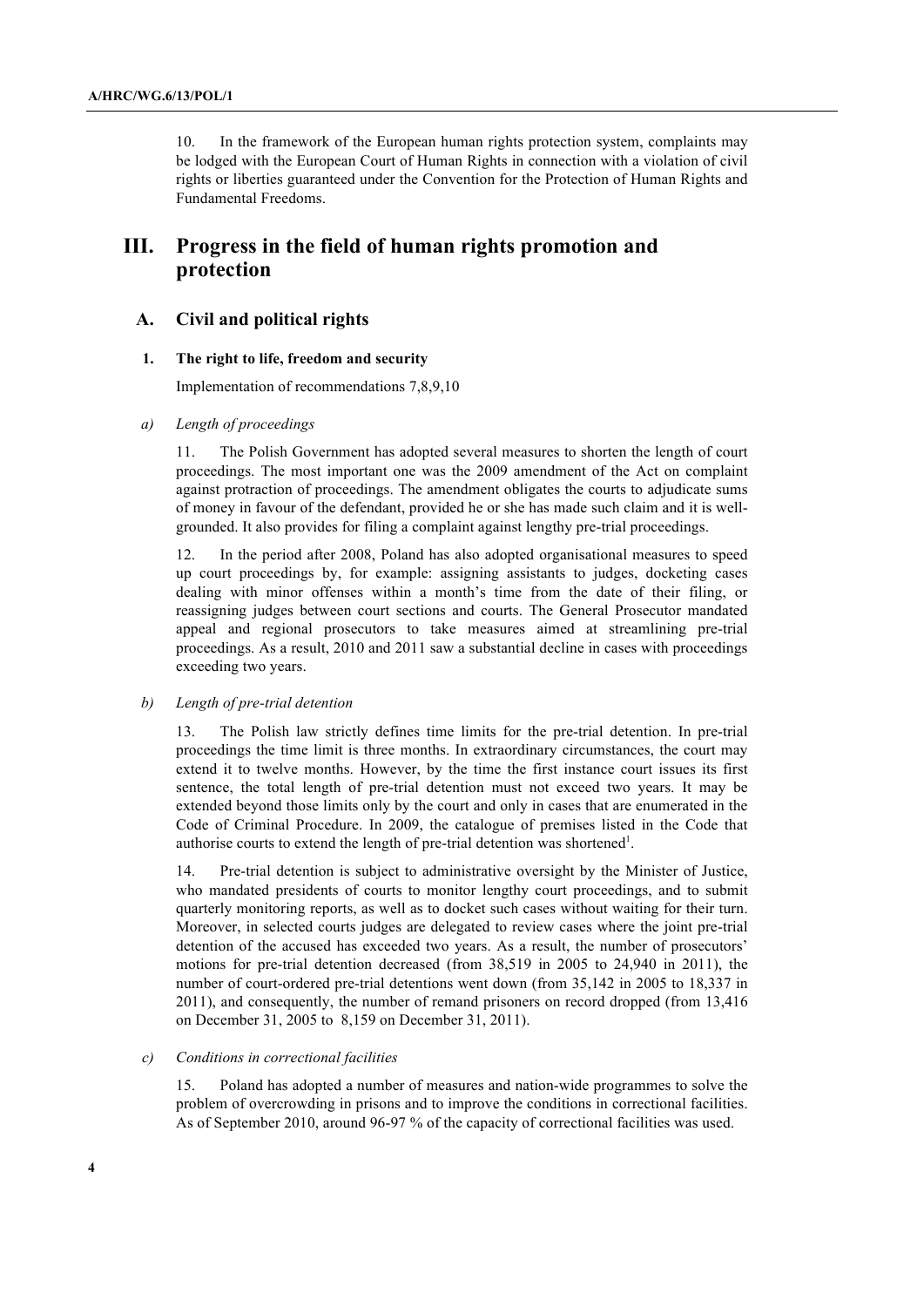10. In the framework of the European human rights protection system, complaints may be lodged with the European Court of Human Rights in connection with a violation of civil rights or liberties guaranteed under the Convention for the Protection of Human Rights and Fundamental Freedoms.

# **III. Progress in the field of human rights promotion and protection**

# **A. Civil and political rights**

### **1. The right to life, freedom and security**

Implementation of recommendations 7,8,9,10

#### *a) Length of proceedings*

11. The Polish Government has adopted several measures to shorten the length of court proceedings. The most important one was the 2009 amendment of the Act on complaint against protraction of proceedings. The amendment obligates the courts to adjudicate sums of money in favour of the defendant, provided he or she has made such claim and it is wellgrounded. It also provides for filing a complaint against lengthy pre-trial proceedings.

12. In the period after 2008, Poland has also adopted organisational measures to speed up court proceedings by, for example: assigning assistants to judges, docketing cases dealing with minor offenses within a month's time from the date of their filing, or reassigning judges between court sections and courts. The General Prosecutor mandated appeal and regional prosecutors to take measures aimed at streamlining pre-trial proceedings. As a result, 2010 and 2011 saw a substantial decline in cases with proceedings exceeding two years.

# *b) Length of pre-trial detention*

13. The Polish law strictly defines time limits for the pre-trial detention. In pre-trial proceedings the time limit is three months. In extraordinary circumstances, the court may extend it to twelve months. However, by the time the first instance court issues its first sentence, the total length of pre-trial detention must not exceed two years. It may be extended beyond those limits only by the court and only in cases that are enumerated in the Code of Criminal Procedure. In 2009, the catalogue of premises listed in the Code that authorise courts to extend the length of pre-trial detention was shortened<sup>1</sup>.

14. Pre-trial detention is subject to administrative oversight by the Minister of Justice, who mandated presidents of courts to monitor lengthy court proceedings, and to submit quarterly monitoring reports, as well as to docket such cases without waiting for their turn. Moreover, in selected courts judges are delegated to review cases where the joint pre-trial detention of the accused has exceeded two years. As a result, the number of prosecutors' motions for pre-trial detention decreased (from 38,519 in 2005 to 24,940 in 2011), the number of court-ordered pre-trial detentions went down (from 35,142 in 2005 to 18,337 in 2011), and consequently, the number of remand prisoners on record dropped (from 13,416 on December 31, 2005 to 8,159 on December 31, 2011).

#### *c) Conditions in correctional facilities*

15. Poland has adopted a number of measures and nation-wide programmes to solve the problem of overcrowding in prisons and to improve the conditions in correctional facilities. As of September 2010, around 96-97 % of the capacity of correctional facilities was used.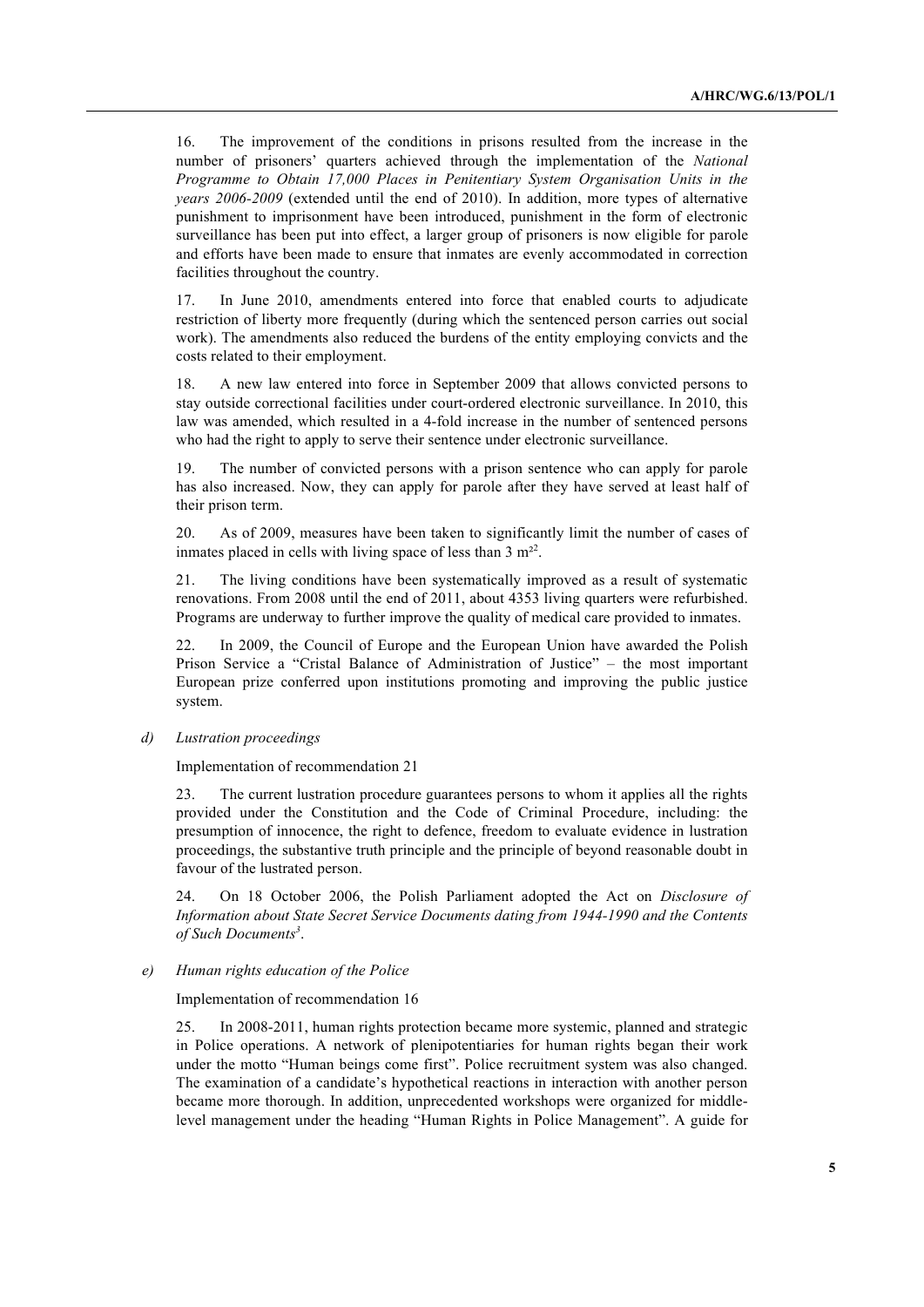16. The improvement of the conditions in prisons resulted from the increase in the number of prisoners' quarters achieved through the implementation of the *National Programme to Obtain 17,000 Places in Penitentiary System Organisation Units in the years 2006-2009* (extended until the end of 2010). In addition, more types of alternative punishment to imprisonment have been introduced, punishment in the form of electronic surveillance has been put into effect, a larger group of prisoners is now eligible for parole and efforts have been made to ensure that inmates are evenly accommodated in correction facilities throughout the country.

17. In June 2010, amendments entered into force that enabled courts to adjudicate restriction of liberty more frequently (during which the sentenced person carries out social work). The amendments also reduced the burdens of the entity employing convicts and the costs related to their employment.

18. A new law entered into force in September 2009 that allows convicted persons to stay outside correctional facilities under court-ordered electronic surveillance. In 2010, this law was amended, which resulted in a 4-fold increase in the number of sentenced persons who had the right to apply to serve their sentence under electronic surveillance.

19. The number of convicted persons with a prison sentence who can apply for parole has also increased. Now, they can apply for parole after they have served at least half of their prison term.

20. As of 2009, measures have been taken to significantly limit the number of cases of inmates placed in cells with living space of less than  $3 \text{ m}^{22}$ .

21. The living conditions have been systematically improved as a result of systematic renovations. From 2008 until the end of 2011, about 4353 living quarters were refurbished. Programs are underway to further improve the quality of medical care provided to inmates.

22. In 2009, the Council of Europe and the European Union have awarded the Polish Prison Service a "Cristal Balance of Administration of Justice" – the most important European prize conferred upon institutions promoting and improving the public justice system.

# *d) Lustration proceedings*

Implementation of recommendation 21

23. The current lustration procedure guarantees persons to whom it applies all the rights provided under the Constitution and the Code of Criminal Procedure, including: the presumption of innocence, the right to defence, freedom to evaluate evidence in lustration proceedings, the substantive truth principle and the principle of beyond reasonable doubt in favour of the lustrated person.

24. On 18 October 2006, the Polish Parliament adopted the Act on *Disclosure of Information about State Secret Service Documents dating from 1944-1990 and the Contents of Such Documents<sup>3</sup>* .

#### *e) Human rights education of the Police*

Implementation of recommendation 16

25. In 2008-2011, human rights protection became more systemic, planned and strategic in Police operations. A network of plenipotentiaries for human rights began their work under the motto "Human beings come first". Police recruitment system was also changed. The examination of a candidate's hypothetical reactions in interaction with another person became more thorough. In addition, unprecedented workshops were organized for middlelevel management under the heading "Human Rights in Police Management". A guide for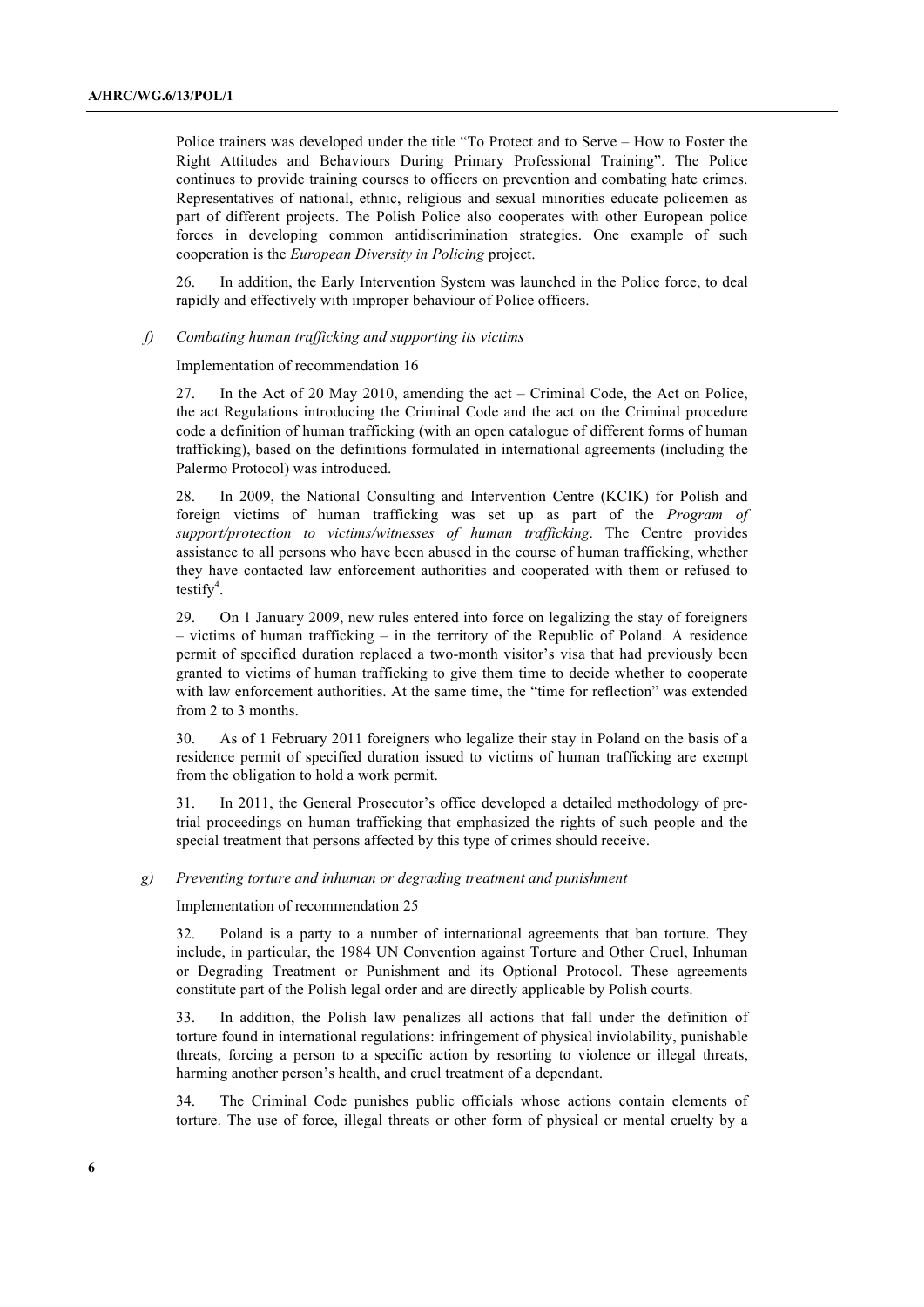Police trainers was developed under the title "To Protect and to Serve – How to Foster the Right Attitudes and Behaviours During Primary Professional Training". The Police continues to provide training courses to officers on prevention and combating hate crimes. Representatives of national, ethnic, religious and sexual minorities educate policemen as part of different projects. The Polish Police also cooperates with other European police forces in developing common antidiscrimination strategies. One example of such cooperation is the *European Diversity in Policing* project.

26. In addition, the Early Intervention System was launched in the Police force, to deal rapidly and effectively with improper behaviour of Police officers.

#### *f) Combating human trafficking and supporting its victims*

Implementation of recommendation 16

27. In the Act of 20 May 2010, amending the act – Criminal Code, the Act on Police, the act Regulations introducing the Criminal Code and the act on the Criminal procedure code a definition of human trafficking (with an open catalogue of different forms of human trafficking), based on the definitions formulated in international agreements (including the Palermo Protocol) was introduced.

28. In 2009, the National Consulting and Intervention Centre (KCIK) for Polish and foreign victims of human trafficking was set up as part of the *Program of support/protection to victims/witnesses of human trafficking*. The Centre provides assistance to all persons who have been abused in the course of human trafficking, whether they have contacted law enforcement authorities and cooperated with them or refused to  $testify<sup>4</sup>$ .

29. On 1 January 2009, new rules entered into force on legalizing the stay of foreigners – victims of human trafficking – in the territory of the Republic of Poland. A residence permit of specified duration replaced a two-month visitor's visa that had previously been granted to victims of human trafficking to give them time to decide whether to cooperate with law enforcement authorities. At the same time, the "time for reflection" was extended from 2 to 3 months.

30. As of 1 February 2011 foreigners who legalize their stay in Poland on the basis of a residence permit of specified duration issued to victims of human trafficking are exempt from the obligation to hold a work permit.

31. In 2011, the General Prosecutor's office developed a detailed methodology of pretrial proceedings on human trafficking that emphasized the rights of such people and the special treatment that persons affected by this type of crimes should receive.

#### *g) Preventing torture and inhuman or degrading treatment and punishment*

Implementation of recommendation 25

32. Poland is a party to a number of international agreements that ban torture. They include, in particular, the 1984 UN Convention against Torture and Other Cruel, Inhuman or Degrading Treatment or Punishment and its Optional Protocol. These agreements constitute part of the Polish legal order and are directly applicable by Polish courts.

33. In addition, the Polish law penalizes all actions that fall under the definition of torture found in international regulations: infringement of physical inviolability, punishable threats, forcing a person to a specific action by resorting to violence or illegal threats, harming another person's health, and cruel treatment of a dependant.

34. The Criminal Code punishes public officials whose actions contain elements of torture. The use of force, illegal threats or other form of physical or mental cruelty by a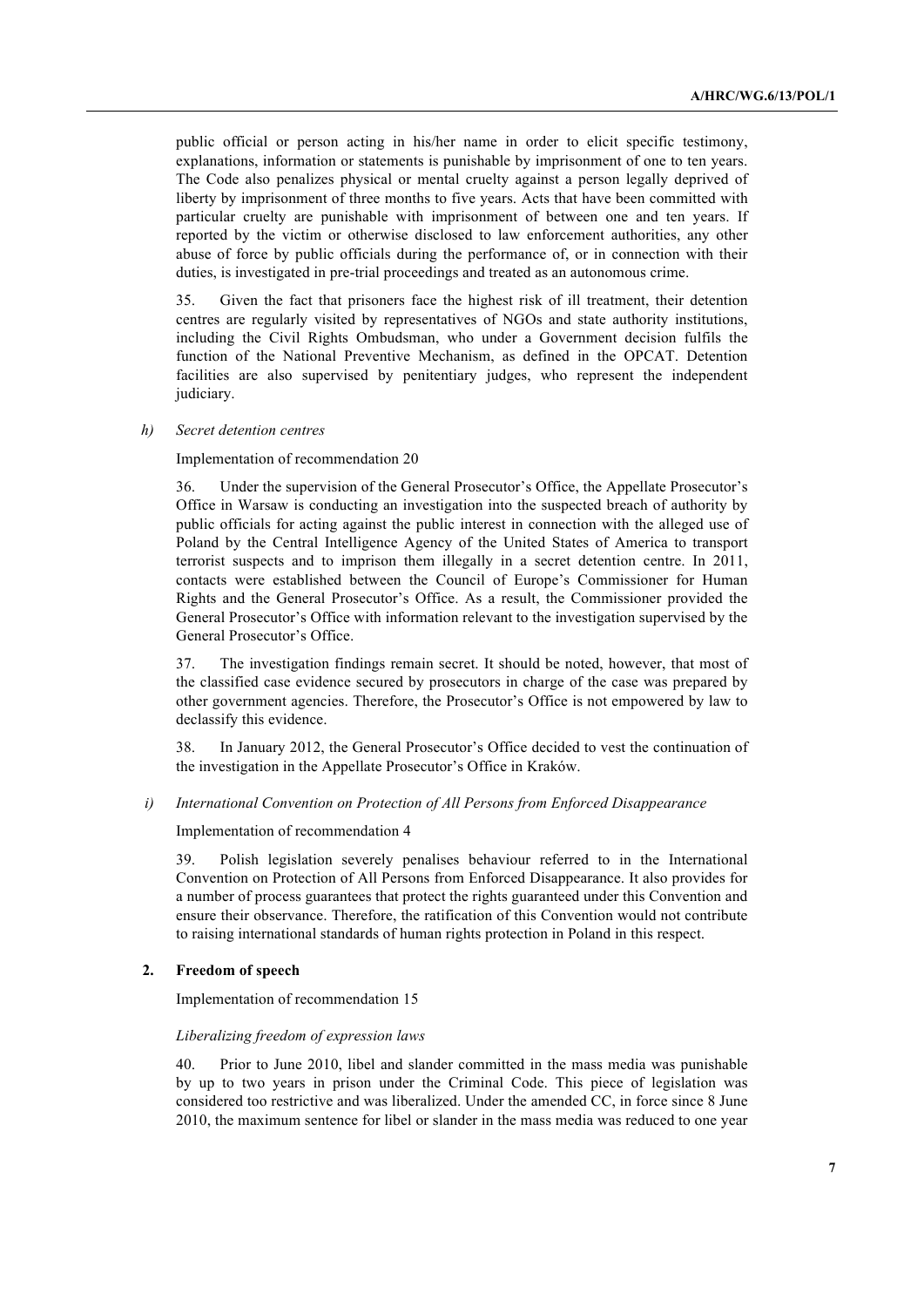public official or person acting in his/her name in order to elicit specific testimony, explanations, information or statements is punishable by imprisonment of one to ten years. The Code also penalizes physical or mental cruelty against a person legally deprived of liberty by imprisonment of three months to five years. Acts that have been committed with particular cruelty are punishable with imprisonment of between one and ten years. If reported by the victim or otherwise disclosed to law enforcement authorities, any other abuse of force by public officials during the performance of, or in connection with their duties, is investigated in pre-trial proceedings and treated as an autonomous crime.

35. Given the fact that prisoners face the highest risk of ill treatment, their detention centres are regularly visited by representatives of NGOs and state authority institutions, including the Civil Rights Ombudsman, who under a Government decision fulfils the function of the National Preventive Mechanism, as defined in the OPCAT. Detention facilities are also supervised by penitentiary judges, who represent the independent judiciary.

#### *h) Secret detention centres*

#### Implementation of recommendation 20

36. Under the supervision of the General Prosecutor's Office, the Appellate Prosecutor's Office in Warsaw is conducting an investigation into the suspected breach of authority by public officials for acting against the public interest in connection with the alleged use of Poland by the Central Intelligence Agency of the United States of America to transport terrorist suspects and to imprison them illegally in a secret detention centre. In 2011, contacts were established between the Council of Europe's Commissioner for Human Rights and the General Prosecutor's Office. As a result, the Commissioner provided the General Prosecutor's Office with information relevant to the investigation supervised by the General Prosecutor's Office.

37. The investigation findings remain secret. It should be noted, however, that most of the classified case evidence secured by prosecutors in charge of the case was prepared by other government agencies. Therefore, the Prosecutor's Office is not empowered by law to declassify this evidence.

38. In January 2012, the General Prosecutor's Office decided to vest the continuation of the investigation in the Appellate Prosecutor's Office in Kraków.

#### *i) International Convention on Protection of All Persons from Enforced Disappearance*

#### Implementation of recommendation 4

39. Polish legislation severely penalises behaviour referred to in the International Convention on Protection of All Persons from Enforced Disappearance. It also provides for a number of process guarantees that protect the rights guaranteed under this Convention and ensure their observance. Therefore, the ratification of this Convention would not contribute to raising international standards of human rights protection in Poland in this respect.

#### **2. Freedom of speech**

Implementation of recommendation 15

#### *Liberalizing freedom of expression laws*

40. Prior to June 2010, libel and slander committed in the mass media was punishable by up to two years in prison under the Criminal Code. This piece of legislation was considered too restrictive and was liberalized. Under the amended CC, in force since 8 June 2010, the maximum sentence for libel or slander in the mass media was reduced to one year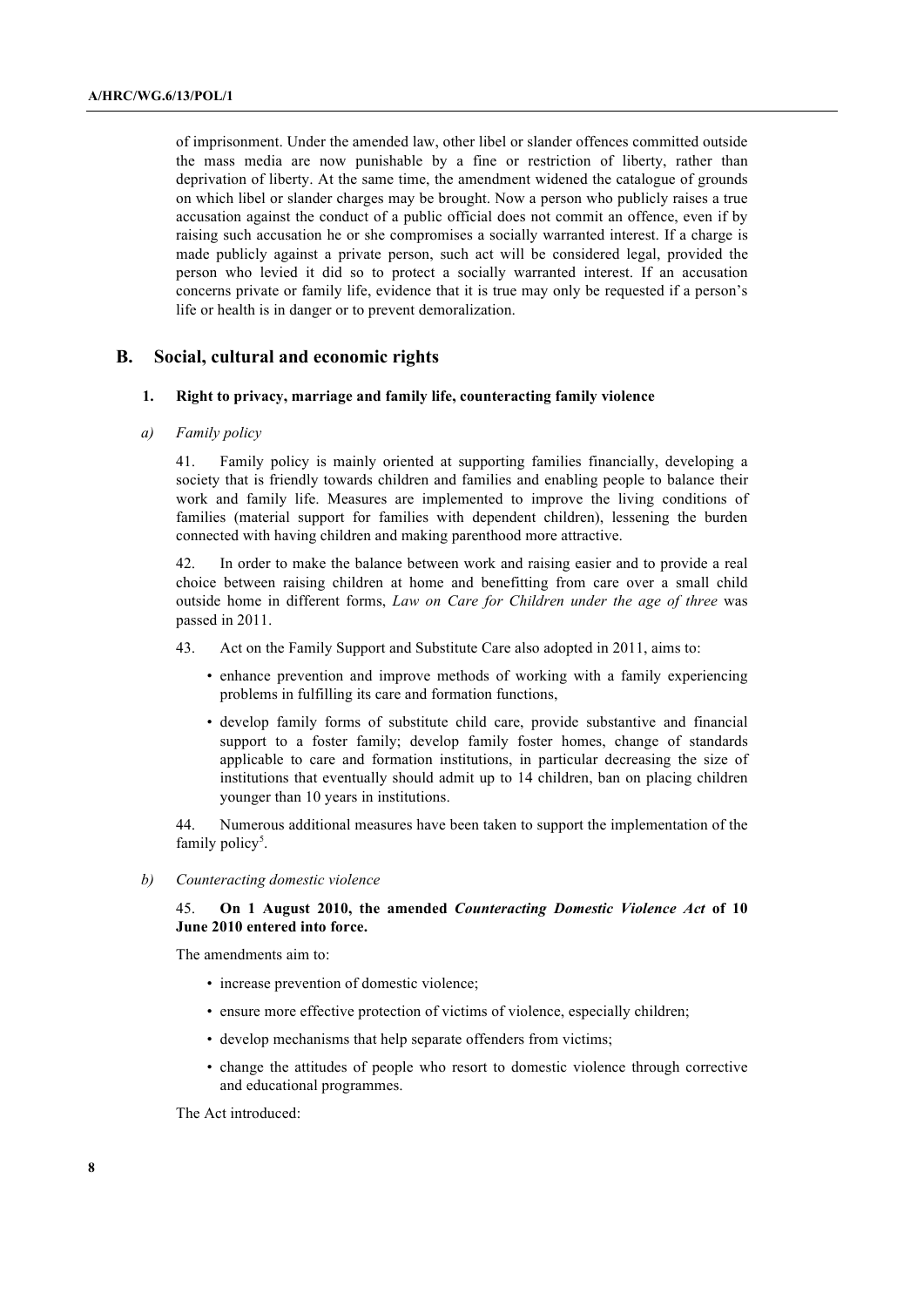of imprisonment. Under the amended law, other libel or slander offences committed outside the mass media are now punishable by a fine or restriction of liberty, rather than deprivation of liberty. At the same time, the amendment widened the catalogue of grounds on which libel or slander charges may be brought. Now a person who publicly raises a true accusation against the conduct of a public official does not commit an offence, even if by raising such accusation he or she compromises a socially warranted interest. If a charge is made publicly against a private person, such act will be considered legal, provided the person who levied it did so to protect a socially warranted interest. If an accusation concerns private or family life, evidence that it is true may only be requested if a person's life or health is in danger or to prevent demoralization.

# **B. Social, cultural and economic rights**

#### **1. Right to privacy, marriage and family life, counteracting family violence**

## *a) Family policy*

41. Family policy is mainly oriented at supporting families financially, developing a society that is friendly towards children and families and enabling people to balance their work and family life. Measures are implemented to improve the living conditions of families (material support for families with dependent children), lessening the burden connected with having children and making parenthood more attractive.

42. In order to make the balance between work and raising easier and to provide a real choice between raising children at home and benefitting from care over a small child outside home in different forms, *Law on Care for Children under the age of three* was passed in 2011.

- 43. Act on the Family Support and Substitute Care also adopted in 2011, aims to:
	- enhance prevention and improve methods of working with a family experiencing problems in fulfilling its care and formation functions,
	- develop family forms of substitute child care, provide substantive and financial support to a foster family; develop family foster homes, change of standards applicable to care and formation institutions, in particular decreasing the size of institutions that eventually should admit up to 14 children, ban on placing children younger than 10 years in institutions.

44. Numerous additional measures have been taken to support the implementation of the family policy<sup>5</sup>.

*b) Counteracting domestic violence*

# 45. **On 1 August 2010, the amended** *Counteracting Domestic Violence Act* **of 10 June 2010 entered into force.**

The amendments aim to:

- increase prevention of domestic violence;
- ensure more effective protection of victims of violence, especially children;
- develop mechanisms that help separate offenders from victims;
- change the attitudes of people who resort to domestic violence through corrective and educational programmes.

The Act introduced: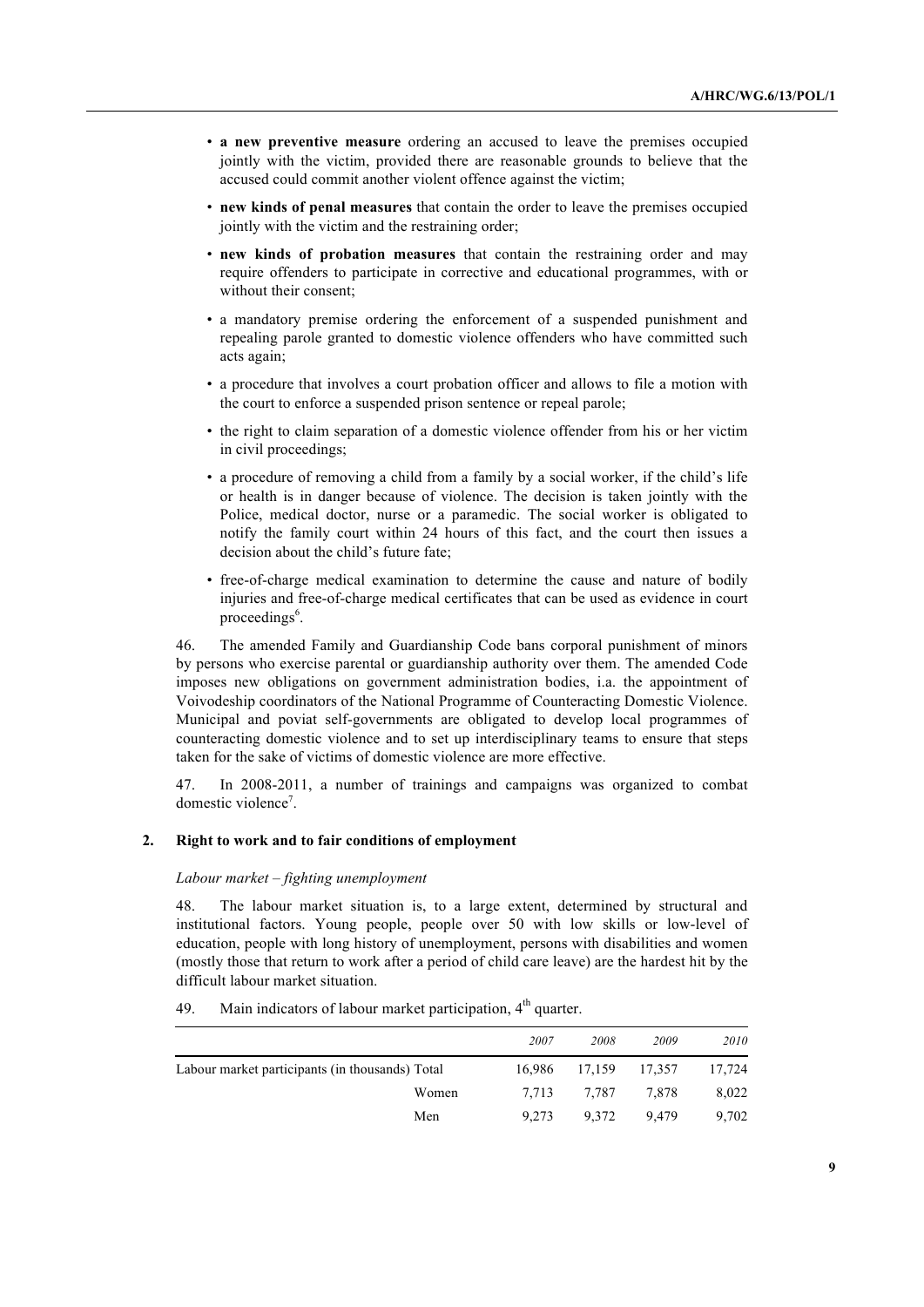- **a new preventive measure** ordering an accused to leave the premises occupied jointly with the victim, provided there are reasonable grounds to believe that the accused could commit another violent offence against the victim;
- **new kinds of penal measures** that contain the order to leave the premises occupied jointly with the victim and the restraining order;
- **new kinds of probation measures** that contain the restraining order and may require offenders to participate in corrective and educational programmes, with or without their consent;
- a mandatory premise ordering the enforcement of a suspended punishment and repealing parole granted to domestic violence offenders who have committed such acts again;
- a procedure that involves a court probation officer and allows to file a motion with the court to enforce a suspended prison sentence or repeal parole;
- the right to claim separation of a domestic violence offender from his or her victim in civil proceedings;
- a procedure of removing a child from a family by a social worker, if the child's life or health is in danger because of violence. The decision is taken jointly with the Police, medical doctor, nurse or a paramedic. The social worker is obligated to notify the family court within 24 hours of this fact, and the court then issues a decision about the child's future fate;
- free-of-charge medical examination to determine the cause and nature of bodily injuries and free-of-charge medical certificates that can be used as evidence in court proceedings<sup>6</sup>.

46. The amended Family and Guardianship Code bans corporal punishment of minors by persons who exercise parental or guardianship authority over them. The amended Code imposes new obligations on government administration bodies, i.a. the appointment of Voivodeship coordinators of the National Programme of Counteracting Domestic Violence. Municipal and poviat self-governments are obligated to develop local programmes of counteracting domestic violence and to set up interdisciplinary teams to ensure that steps taken for the sake of victims of domestic violence are more effective.

47. In 2008-2011, a number of trainings and campaigns was organized to combat domestic violence<sup>7</sup>.

# **2. Right to work and to fair conditions of employment**

# *Labour market – fighting unemployment*

48. The labour market situation is, to a large extent, determined by structural and institutional factors. Young people, people over 50 with low skills or low-level of education, people with long history of unemployment, persons with disabilities and women (mostly those that return to work after a period of child care leave) are the hardest hit by the difficult labour market situation.

49. Main indicators of labour market participation,  $4<sup>th</sup>$  quarter.

|                                                 | 2007   | 2008          | 2009  | 2010   |
|-------------------------------------------------|--------|---------------|-------|--------|
| Labour market participants (in thousands) Total | 16.986 | 17,159 17,357 |       | 17,724 |
| Women                                           | 7.713  | 7.787         | 7.878 | 8,022  |
| Men                                             | 9.273  | 9.372         | 9.479 | 9.702  |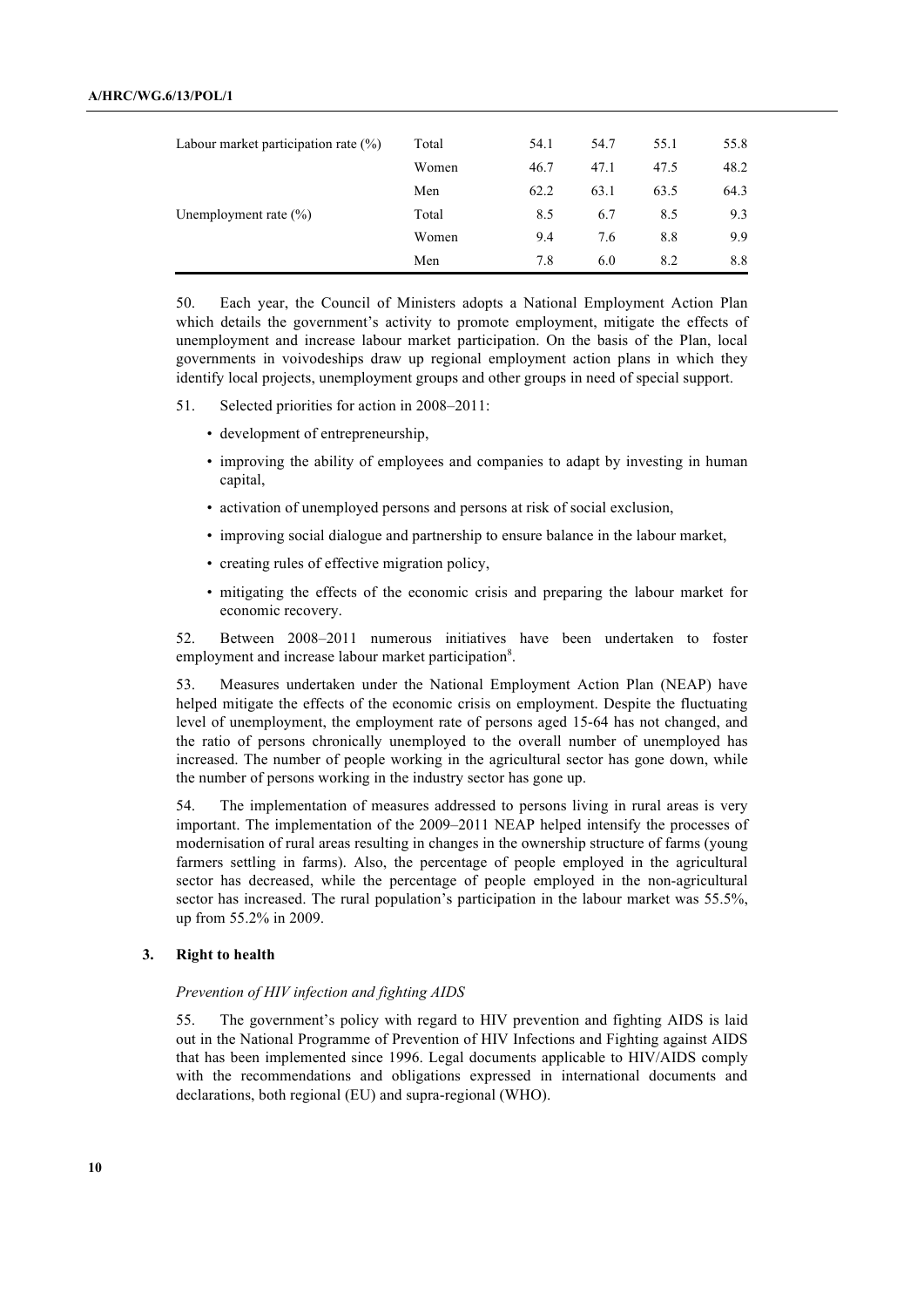| Labour market participation rate (%) | Total | 54.1 | 54.7 | 55.1 | 55.8 |
|--------------------------------------|-------|------|------|------|------|
|                                      | Women | 46.7 | 47.1 | 47.5 | 48.2 |
|                                      | Men   | 62.2 | 63.1 | 63.5 | 64.3 |
| Unemployment rate $(\% )$            | Total | 8.5  | 6.7  | 8.5  | 9.3  |
|                                      | Women | 9.4  | 7.6  | 8.8  | 9.9  |
|                                      | Men   | 7.8  | 6.0  | 8.2  | 8.8  |

50. Each year, the Council of Ministers adopts a National Employment Action Plan which details the government's activity to promote employment, mitigate the effects of unemployment and increase labour market participation. On the basis of the Plan, local governments in voivodeships draw up regional employment action plans in which they identify local projects, unemployment groups and other groups in need of special support.

- 51. Selected priorities for action in 2008–2011:
	- development of entrepreneurship,
	- improving the ability of employees and companies to adapt by investing in human capital,
	- activation of unemployed persons and persons at risk of social exclusion,
	- improving social dialogue and partnership to ensure balance in the labour market,
	- creating rules of effective migration policy,
	- mitigating the effects of the economic crisis and preparing the labour market for economic recovery.

52. Between 2008–2011 numerous initiatives have been undertaken to foster employment and increase labour market participation<sup>8</sup>.

53. Measures undertaken under the National Employment Action Plan (NEAP) have helped mitigate the effects of the economic crisis on employment. Despite the fluctuating level of unemployment, the employment rate of persons aged 15-64 has not changed, and the ratio of persons chronically unemployed to the overall number of unemployed has increased. The number of people working in the agricultural sector has gone down, while the number of persons working in the industry sector has gone up.

54. The implementation of measures addressed to persons living in rural areas is very important. The implementation of the 2009–2011 NEAP helped intensify the processes of modernisation of rural areas resulting in changes in the ownership structure of farms (young farmers settling in farms). Also, the percentage of people employed in the agricultural sector has decreased, while the percentage of people employed in the non-agricultural sector has increased. The rural population's participation in the labour market was 55.5%, up from 55.2% in 2009.

#### **3. Right to health**

#### *Prevention of HIV infection and fighting AIDS*

55. The government's policy with regard to HIV prevention and fighting AIDS is laid out in the National Programme of Prevention of HIV Infections and Fighting against AIDS that has been implemented since 1996. Legal documents applicable to HIV/AIDS comply with the recommendations and obligations expressed in international documents and declarations, both regional (EU) and supra-regional (WHO).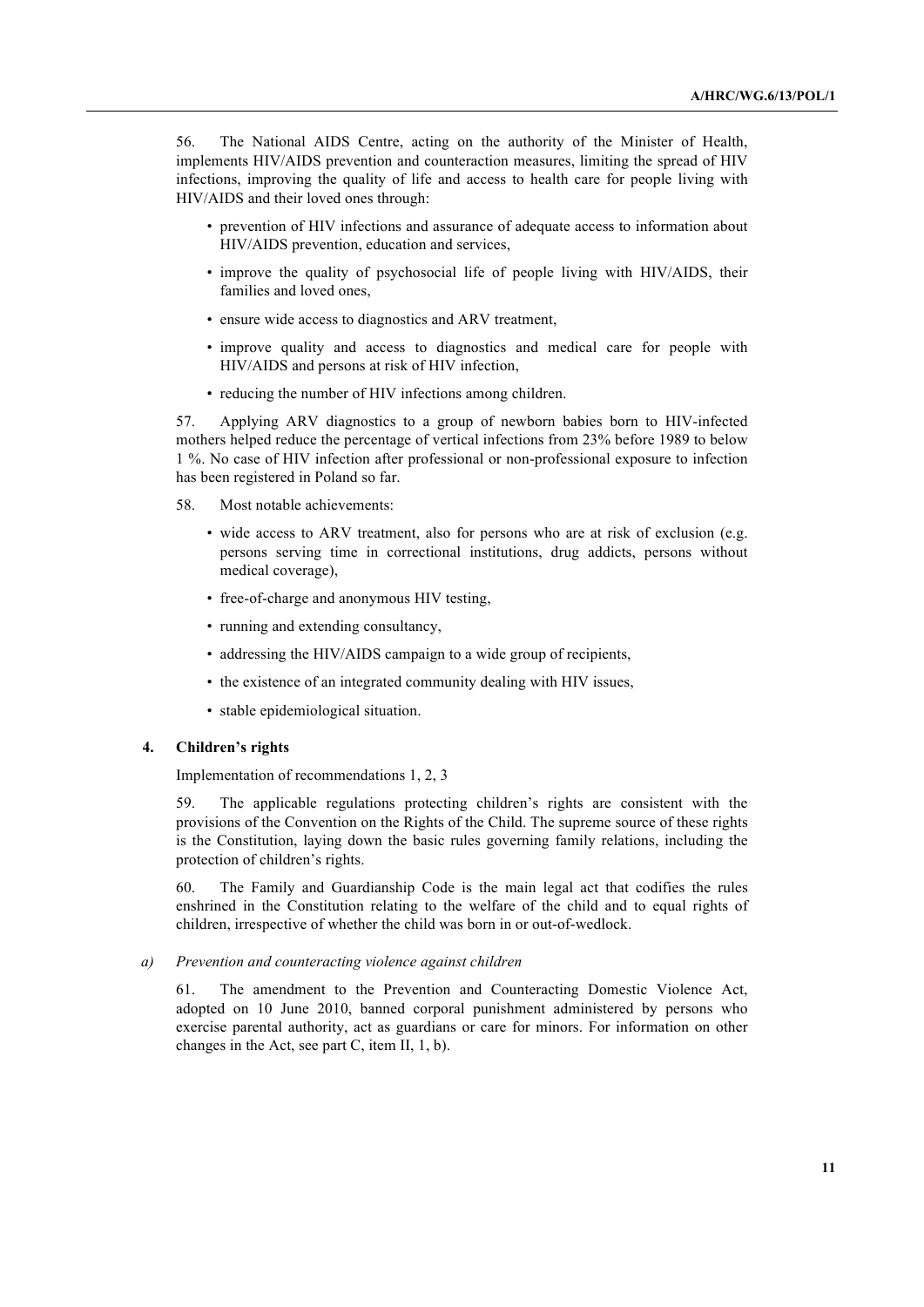56. The National AIDS Centre, acting on the authority of the Minister of Health, implements HIV/AIDS prevention and counteraction measures, limiting the spread of HIV infections, improving the quality of life and access to health care for people living with HIV/AIDS and their loved ones through:

- prevention of HIV infections and assurance of adequate access to information about HIV/AIDS prevention, education and services,
- improve the quality of psychosocial life of people living with HIV/AIDS, their families and loved ones,
- ensure wide access to diagnostics and ARV treatment,
- improve quality and access to diagnostics and medical care for people with HIV/AIDS and persons at risk of HIV infection,
- reducing the number of HIV infections among children.

57. Applying ARV diagnostics to a group of newborn babies born to HIV-infected mothers helped reduce the percentage of vertical infections from 23% before 1989 to below 1 %. No case of HIV infection after professional or non-professional exposure to infection has been registered in Poland so far.

- 58. Most notable achievements:
	- wide access to ARV treatment, also for persons who are at risk of exclusion (e.g. persons serving time in correctional institutions, drug addicts, persons without medical coverage),
	- free-of-charge and anonymous HIV testing,
	- running and extending consultancy,
	- addressing the HIV/AIDS campaign to a wide group of recipients,
	- the existence of an integrated community dealing with HIV issues,
	- stable epidemiological situation.

# **4. Children's rights**

Implementation of recommendations 1, 2, 3

59. The applicable regulations protecting children's rights are consistent with the provisions of the Convention on the Rights of the Child. The supreme source of these rights is the Constitution, laying down the basic rules governing family relations, including the protection of children's rights.

60. The Family and Guardianship Code is the main legal act that codifies the rules enshrined in the Constitution relating to the welfare of the child and to equal rights of children, irrespective of whether the child was born in or out-of-wedlock.

*a) Prevention and counteracting violence against children*

61. The amendment to the Prevention and Counteracting Domestic Violence Act, adopted on 10 June 2010, banned corporal punishment administered by persons who exercise parental authority, act as guardians or care for minors. For information on other changes in the Act, see part C, item II, 1, b).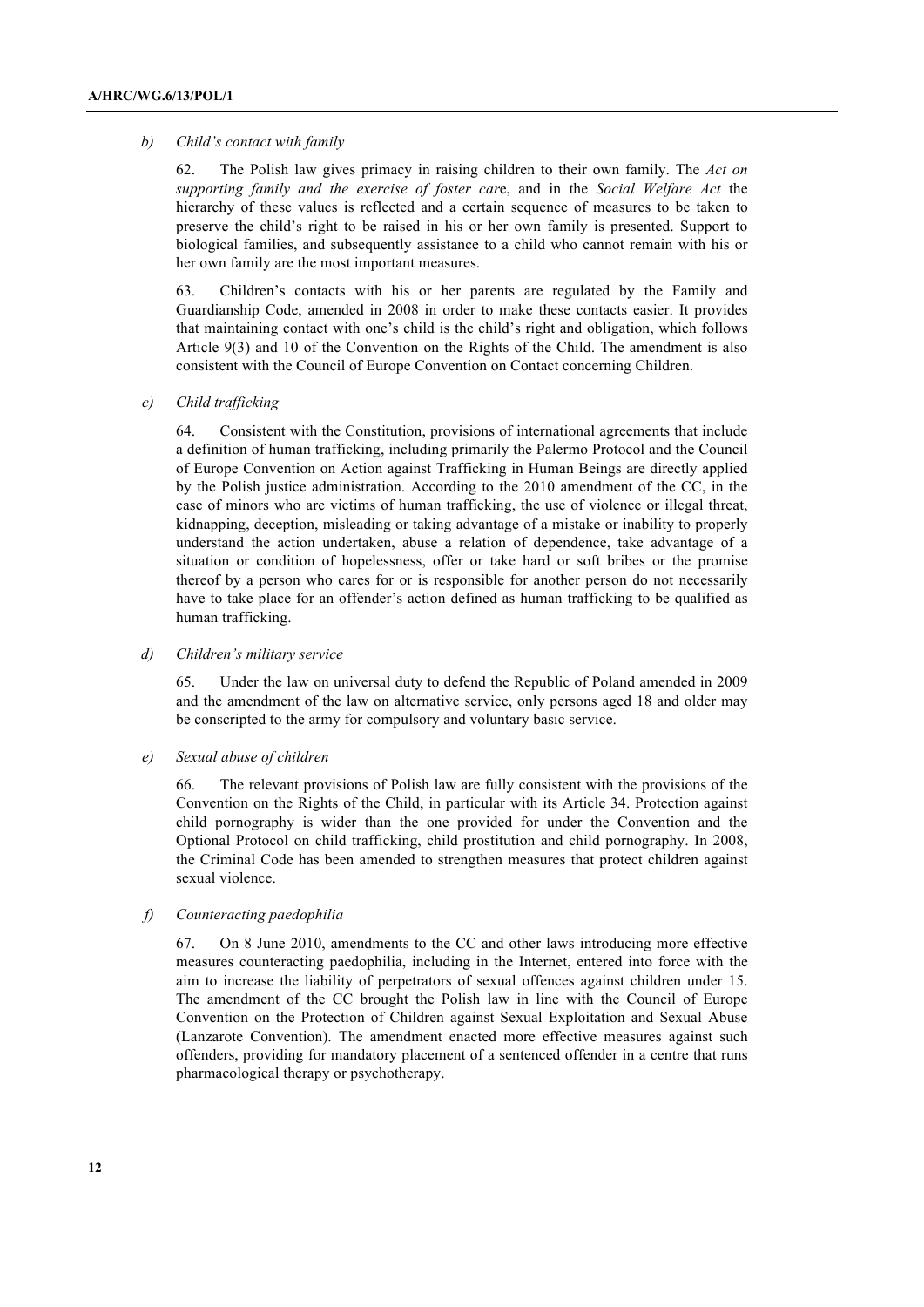#### *b) Child's contact with family*

62. The Polish law gives primacy in raising children to their own family. The *Act on supporting family and the exercise of foster car*e, and in the *Social Welfare Act* the hierarchy of these values is reflected and a certain sequence of measures to be taken to preserve the child's right to be raised in his or her own family is presented. Support to biological families, and subsequently assistance to a child who cannot remain with his or her own family are the most important measures.

63. Children's contacts with his or her parents are regulated by the Family and Guardianship Code, amended in 2008 in order to make these contacts easier. It provides that maintaining contact with one's child is the child's right and obligation, which follows Article 9(3) and 10 of the Convention on the Rights of the Child. The amendment is also consistent with the Council of Europe Convention on Contact concerning Children.

# *c) Child trafficking*

64. Consistent with the Constitution, provisions of international agreements that include a definition of human trafficking, including primarily the Palermo Protocol and the Council of Europe Convention on Action against Trafficking in Human Beings are directly applied by the Polish justice administration. According to the 2010 amendment of the CC, in the case of minors who are victims of human trafficking, the use of violence or illegal threat, kidnapping, deception, misleading or taking advantage of a mistake or inability to properly understand the action undertaken, abuse a relation of dependence, take advantage of a situation or condition of hopelessness, offer or take hard or soft bribes or the promise thereof by a person who cares for or is responsible for another person do not necessarily have to take place for an offender's action defined as human trafficking to be qualified as human trafficking.

# *d) Children's military service*

65. Under the law on universal duty to defend the Republic of Poland amended in 2009 and the amendment of the law on alternative service, only persons aged 18 and older may be conscripted to the army for compulsory and voluntary basic service.

# *e) Sexual abuse of children*

66. The relevant provisions of Polish law are fully consistent with the provisions of the Convention on the Rights of the Child, in particular with its Article 34. Protection against child pornography is wider than the one provided for under the Convention and the Optional Protocol on child trafficking, child prostitution and child pornography. In 2008, the Criminal Code has been amended to strengthen measures that protect children against sexual violence.

### *f) Counteracting paedophilia*

67. On 8 June 2010, amendments to the CC and other laws introducing more effective measures counteracting paedophilia, including in the Internet, entered into force with the aim to increase the liability of perpetrators of sexual offences against children under 15. The amendment of the CC brought the Polish law in line with the Council of Europe Convention on the Protection of Children against Sexual Exploitation and Sexual Abuse (Lanzarote Convention). The amendment enacted more effective measures against such offenders, providing for mandatory placement of a sentenced offender in a centre that runs pharmacological therapy or psychotherapy.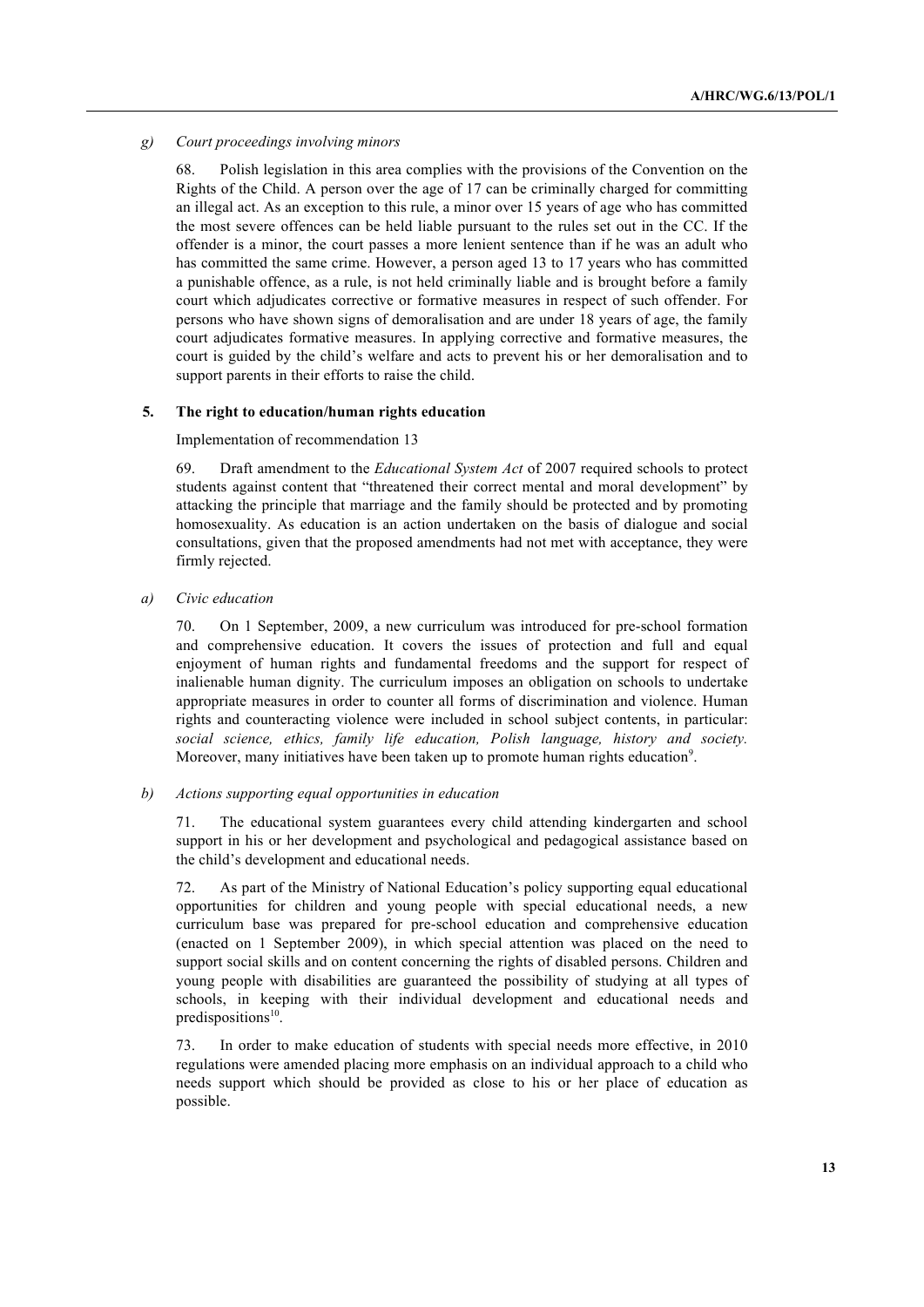# *g) Court proceedings involving minors*

68. Polish legislation in this area complies with the provisions of the Convention on the Rights of the Child. A person over the age of 17 can be criminally charged for committing an illegal act. As an exception to this rule, a minor over 15 years of age who has committed the most severe offences can be held liable pursuant to the rules set out in the CC. If the offender is a minor, the court passes a more lenient sentence than if he was an adult who has committed the same crime. However, a person aged 13 to 17 years who has committed a punishable offence, as a rule, is not held criminally liable and is brought before a family court which adjudicates corrective or formative measures in respect of such offender. For persons who have shown signs of demoralisation and are under 18 years of age, the family court adjudicates formative measures. In applying corrective and formative measures, the court is guided by the child's welfare and acts to prevent his or her demoralisation and to support parents in their efforts to raise the child.

# **5. The right to education/human rights education**

Implementation of recommendation 13

69. Draft amendment to the *Educational System Act* of 2007 required schools to protect students against content that "threatened their correct mental and moral development" by attacking the principle that marriage and the family should be protected and by promoting homosexuality. As education is an action undertaken on the basis of dialogue and social consultations, given that the proposed amendments had not met with acceptance, they were firmly rejected.

*a) Civic education*

70. On 1 September, 2009, a new curriculum was introduced for pre-school formation and comprehensive education. It covers the issues of protection and full and equal enjoyment of human rights and fundamental freedoms and the support for respect of inalienable human dignity. The curriculum imposes an obligation on schools to undertake appropriate measures in order to counter all forms of discrimination and violence. Human rights and counteracting violence were included in school subject contents, in particular: *social science, ethics, family life education, Polish language, history and society.* Moreover, many initiatives have been taken up to promote human rights education<sup>9</sup>.

### *b) Actions supporting equal opportunities in education*

71. The educational system guarantees every child attending kindergarten and school support in his or her development and psychological and pedagogical assistance based on the child's development and educational needs.

72. As part of the Ministry of National Education's policy supporting equal educational opportunities for children and young people with special educational needs, a new curriculum base was prepared for pre-school education and comprehensive education (enacted on 1 September 2009), in which special attention was placed on the need to support social skills and on content concerning the rights of disabled persons. Children and young people with disabilities are guaranteed the possibility of studying at all types of schools, in keeping with their individual development and educational needs and predispositions<sup>10</sup>.

73. In order to make education of students with special needs more effective, in 2010 regulations were amended placing more emphasis on an individual approach to a child who needs support which should be provided as close to his or her place of education as possible.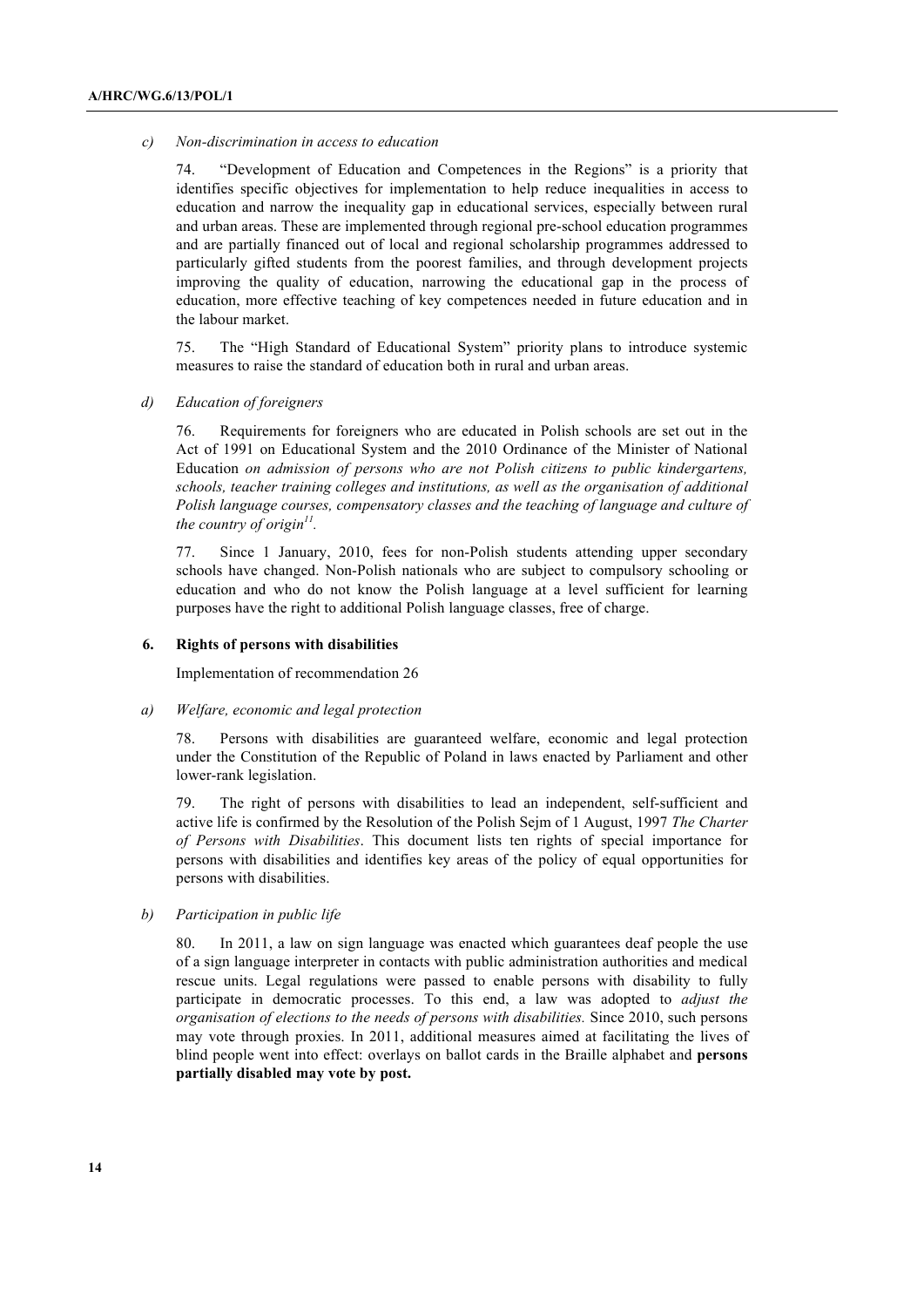#### *c) Non-discrimination in access to education*

74. "Development of Education and Competences in the Regions" is a priority that identifies specific objectives for implementation to help reduce inequalities in access to education and narrow the inequality gap in educational services, especially between rural and urban areas. These are implemented through regional pre-school education programmes and are partially financed out of local and regional scholarship programmes addressed to particularly gifted students from the poorest families, and through development projects improving the quality of education, narrowing the educational gap in the process of education, more effective teaching of key competences needed in future education and in the labour market.

75. The "High Standard of Educational System" priority plans to introduce systemic measures to raise the standard of education both in rural and urban areas.

# *d) Education of foreigners*

76. Requirements for foreigners who are educated in Polish schools are set out in the Act of 1991 on Educational System and the 2010 Ordinance of the Minister of National Education *on admission of persons who are not Polish citizens to public kindergartens, schools, teacher training colleges and institutions, as well as the organisation of additional Polish language courses, compensatory classes and the teaching of language and culture of the country of origin11.*

77. Since 1 January, 2010, fees for non-Polish students attending upper secondary schools have changed. Non-Polish nationals who are subject to compulsory schooling or education and who do not know the Polish language at a level sufficient for learning purposes have the right to additional Polish language classes, free of charge.

#### **6. Rights of persons with disabilities**

Implementation of recommendation 26

#### *a) Welfare, economic and legal protection*

78. Persons with disabilities are guaranteed welfare, economic and legal protection under the Constitution of the Republic of Poland in laws enacted by Parliament and other lower-rank legislation.

79. The right of persons with disabilities to lead an independent, self-sufficient and active life is confirmed by the Resolution of the Polish Sejm of 1 August, 1997 *The Charter of Persons with Disabilities*. This document lists ten rights of special importance for persons with disabilities and identifies key areas of the policy of equal opportunities for persons with disabilities.

*b) Participation in public life*

80. In 2011, a law on sign language was enacted which guarantees deaf people the use of a sign language interpreter in contacts with public administration authorities and medical rescue units. Legal regulations were passed to enable persons with disability to fully participate in democratic processes. To this end, a law was adopted to *adjust the organisation of elections to the needs of persons with disabilities.* Since 2010, such persons may vote through proxies. In 2011, additional measures aimed at facilitating the lives of blind people went into effect: overlays on ballot cards in the Braille alphabet and **persons partially disabled may vote by post.**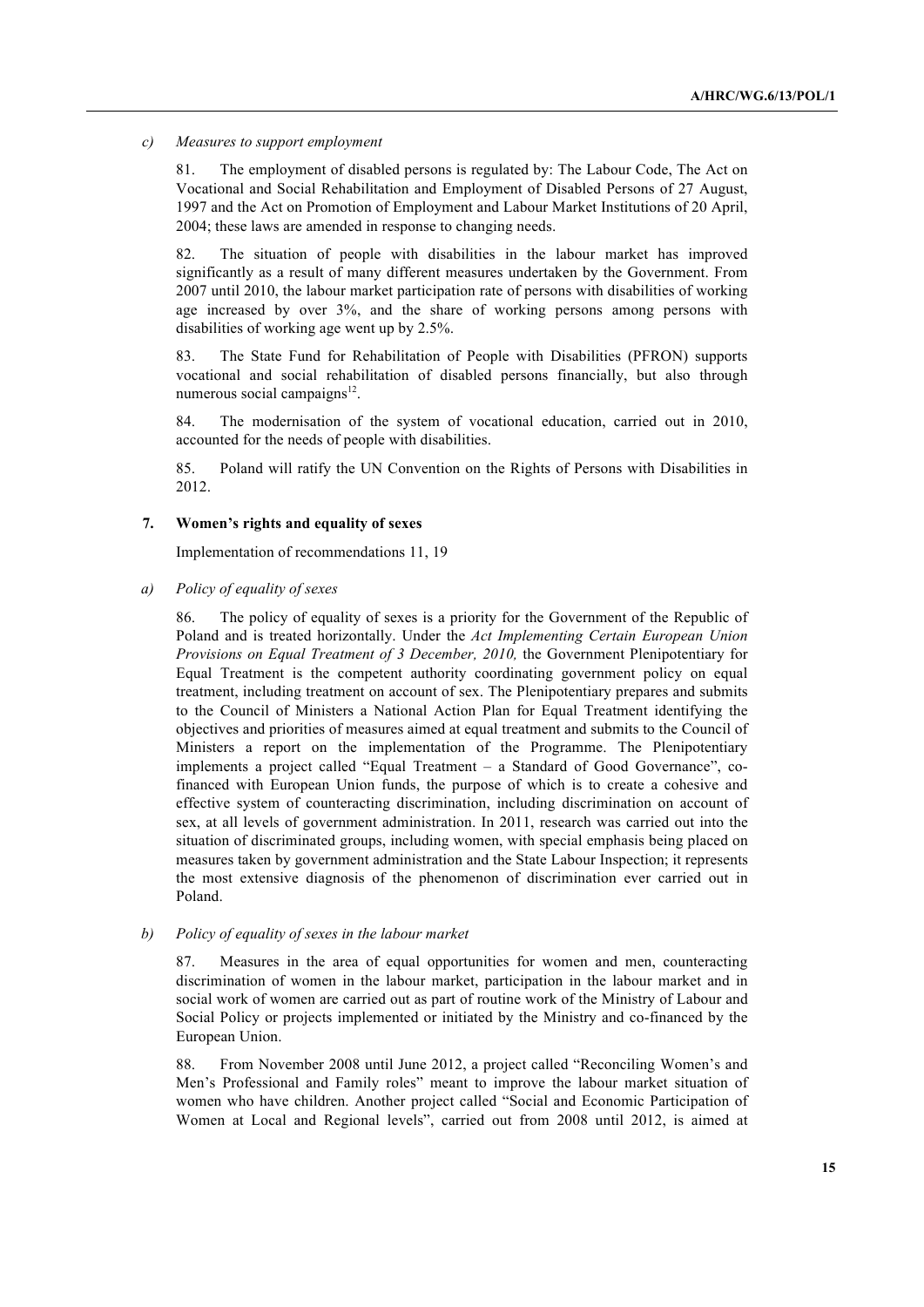*c) Measures to support employment*

81. The employment of disabled persons is regulated by: The Labour Code, The Act on Vocational and Social Rehabilitation and Employment of Disabled Persons of 27 August, 1997 and the Act on Promotion of Employment and Labour Market Institutions of 20 April, 2004; these laws are amended in response to changing needs.

82. The situation of people with disabilities in the labour market has improved significantly as a result of many different measures undertaken by the Government. From 2007 until 2010, the labour market participation rate of persons with disabilities of working age increased by over 3%, and the share of working persons among persons with disabilities of working age went up by 2.5%.

83. The State Fund for Rehabilitation of People with Disabilities (PFRON) supports vocational and social rehabilitation of disabled persons financially, but also through numerous social campaigns $12$ .

84. The modernisation of the system of vocational education, carried out in 2010, accounted for the needs of people with disabilities.

85. Poland will ratify the UN Convention on the Rights of Persons with Disabilities in 2012.

#### **7. Women's rights and equality of sexes**

Implementation of recommendations 11, 19

# *a) Policy of equality of sexes*

86. The policy of equality of sexes is a priority for the Government of the Republic of Poland and is treated horizontally. Under the *Act Implementing Certain European Union Provisions on Equal Treatment of 3 December, 2010,* the Government Plenipotentiary for Equal Treatment is the competent authority coordinating government policy on equal treatment, including treatment on account of sex. The Plenipotentiary prepares and submits to the Council of Ministers a National Action Plan for Equal Treatment identifying the objectives and priorities of measures aimed at equal treatment and submits to the Council of Ministers a report on the implementation of the Programme. The Plenipotentiary implements a project called "Equal Treatment – a Standard of Good Governance", cofinanced with European Union funds, the purpose of which is to create a cohesive and effective system of counteracting discrimination, including discrimination on account of sex, at all levels of government administration. In 2011, research was carried out into the situation of discriminated groups, including women, with special emphasis being placed on measures taken by government administration and the State Labour Inspection; it represents the most extensive diagnosis of the phenomenon of discrimination ever carried out in Poland.

#### *b) Policy of equality of sexes in the labour market*

87. Measures in the area of equal opportunities for women and men, counteracting discrimination of women in the labour market, participation in the labour market and in social work of women are carried out as part of routine work of the Ministry of Labour and Social Policy or projects implemented or initiated by the Ministry and co-financed by the European Union.

88. From November 2008 until June 2012, a project called "Reconciling Women's and Men's Professional and Family roles" meant to improve the labour market situation of women who have children. Another project called "Social and Economic Participation of Women at Local and Regional levels", carried out from 2008 until 2012, is aimed at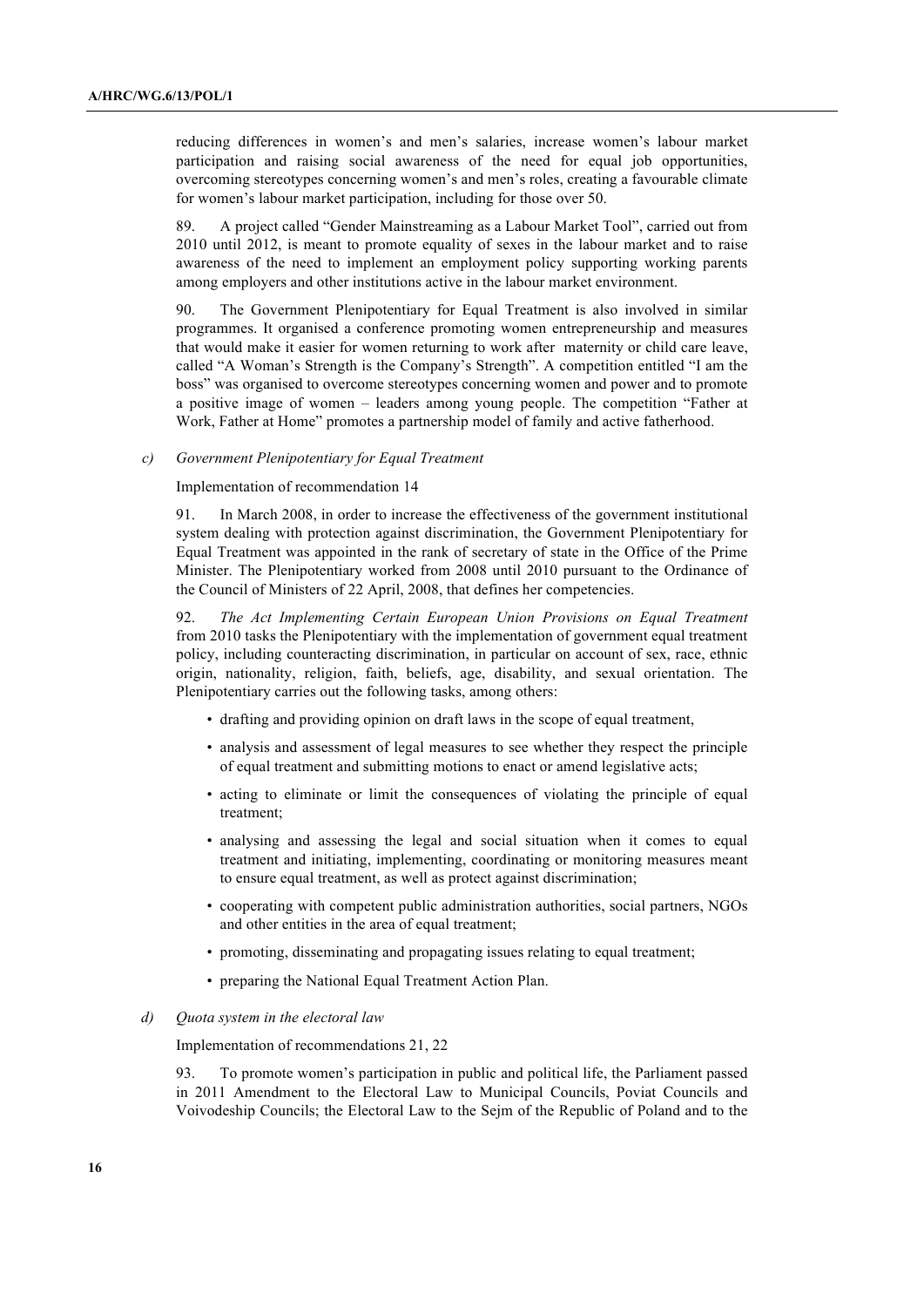reducing differences in women's and men's salaries, increase women's labour market participation and raising social awareness of the need for equal job opportunities, overcoming stereotypes concerning women's and men's roles, creating a favourable climate for women's labour market participation, including for those over 50.

89. A project called "Gender Mainstreaming as a Labour Market Tool", carried out from 2010 until 2012, is meant to promote equality of sexes in the labour market and to raise awareness of the need to implement an employment policy supporting working parents among employers and other institutions active in the labour market environment.

90. The Government Plenipotentiary for Equal Treatment is also involved in similar programmes. It organised a conference promoting women entrepreneurship and measures that would make it easier for women returning to work after maternity or child care leave, called "A Woman's Strength is the Company's Strength". A competition entitled "I am the boss" was organised to overcome stereotypes concerning women and power and to promote a positive image of women – leaders among young people. The competition "Father at Work, Father at Home" promotes a partnership model of family and active fatherhood.

#### *c) Government Plenipotentiary for Equal Treatment*

Implementation of recommendation 14

91. In March 2008, in order to increase the effectiveness of the government institutional system dealing with protection against discrimination, the Government Plenipotentiary for Equal Treatment was appointed in the rank of secretary of state in the Office of the Prime Minister. The Plenipotentiary worked from 2008 until 2010 pursuant to the Ordinance of the Council of Ministers of 22 April, 2008, that defines her competencies.

92. *The Act Implementing Certain European Union Provisions on Equal Treatment* from 2010 tasks the Plenipotentiary with the implementation of government equal treatment policy, including counteracting discrimination, in particular on account of sex, race, ethnic origin, nationality, religion, faith, beliefs, age, disability, and sexual orientation. The Plenipotentiary carries out the following tasks, among others:

- drafting and providing opinion on draft laws in the scope of equal treatment,
- analysis and assessment of legal measures to see whether they respect the principle of equal treatment and submitting motions to enact or amend legislative acts;
- acting to eliminate or limit the consequences of violating the principle of equal treatment;
- analysing and assessing the legal and social situation when it comes to equal treatment and initiating, implementing, coordinating or monitoring measures meant to ensure equal treatment, as well as protect against discrimination;
- cooperating with competent public administration authorities, social partners, NGOs and other entities in the area of equal treatment;
- promoting, disseminating and propagating issues relating to equal treatment;
- preparing the National Equal Treatment Action Plan.
- *d) Quota system in the electoral law*

Implementation of recommendations 21, 22

93. To promote women's participation in public and political life, the Parliament passed in 2011 Amendment to the Electoral Law to Municipal Councils, Poviat Councils and Voivodeship Councils; the Electoral Law to the Sejm of the Republic of Poland and to the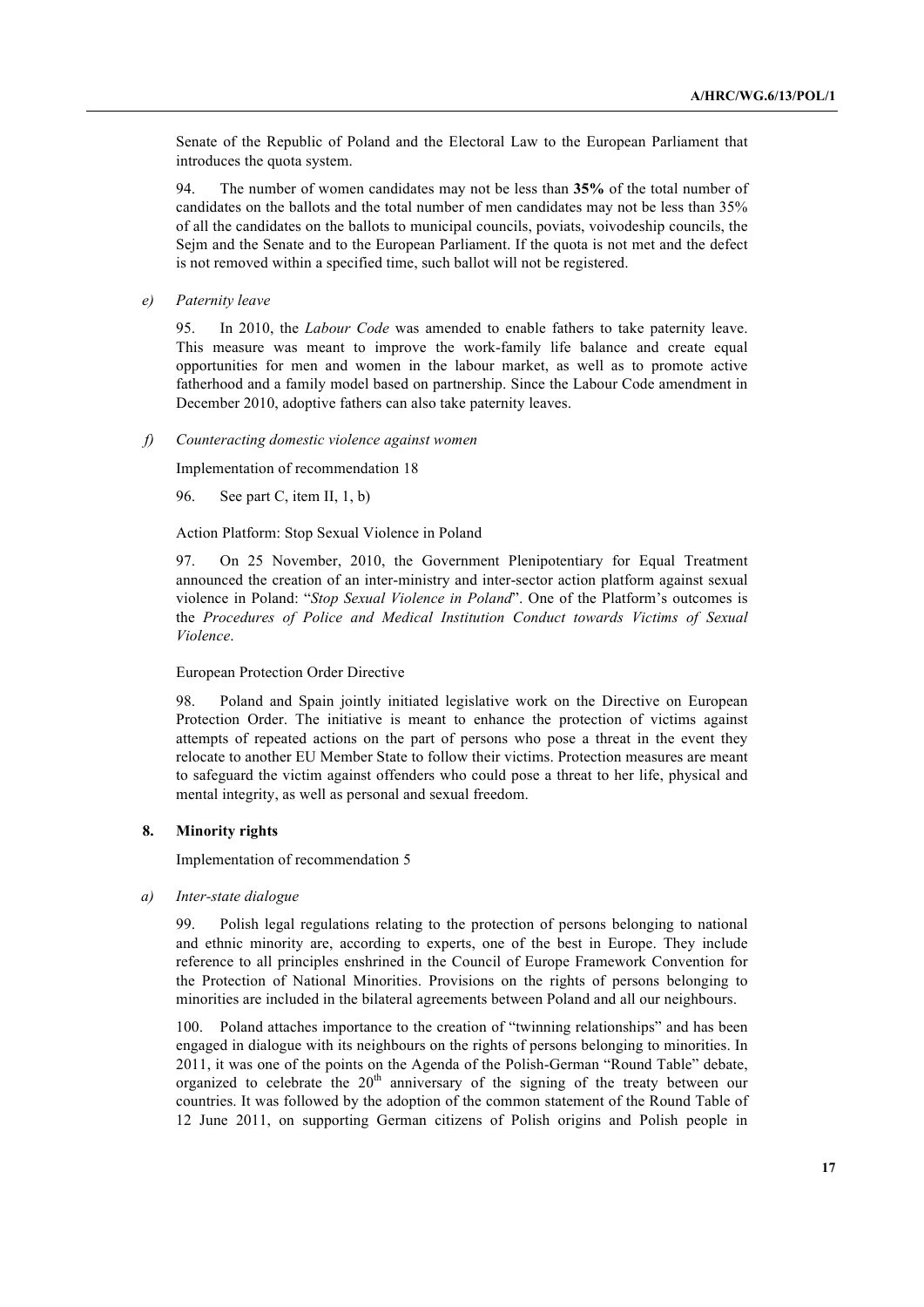Senate of the Republic of Poland and the Electoral Law to the European Parliament that introduces the quota system.

94. The number of women candidates may not be less than **35%** of the total number of candidates on the ballots and the total number of men candidates may not be less than 35% of all the candidates on the ballots to municipal councils, poviats, voivodeship councils, the Sejm and the Senate and to the European Parliament. If the quota is not met and the defect is not removed within a specified time, such ballot will not be registered.

*e) Paternity leave*

95. In 2010, the *Labour Code* was amended to enable fathers to take paternity leave. This measure was meant to improve the work-family life balance and create equal opportunities for men and women in the labour market, as well as to promote active fatherhood and a family model based on partnership. Since the Labour Code amendment in December 2010, adoptive fathers can also take paternity leaves.

*f) Counteracting domestic violence against women* 

Implementation of recommendation 18

96. See part C, item II, 1, b)

Action Platform: Stop Sexual Violence in Poland

97. On 25 November, 2010, the Government Plenipotentiary for Equal Treatment announced the creation of an inter-ministry and inter-sector action platform against sexual violence in Poland: "*Stop Sexual Violence in Poland*". One of the Platform's outcomes is the *Procedures of Police and Medical Institution Conduct towards Victims of Sexual Violence*.

# European Protection Order Directive

98. Poland and Spain jointly initiated legislative work on the Directive on European Protection Order. The initiative is meant to enhance the protection of victims against attempts of repeated actions on the part of persons who pose a threat in the event they relocate to another EU Member State to follow their victims. Protection measures are meant to safeguard the victim against offenders who could pose a threat to her life, physical and mental integrity, as well as personal and sexual freedom.

### **8. Minority rights**

Implementation of recommendation 5

#### *a) Inter-state dialogue*

99. Polish legal regulations relating to the protection of persons belonging to national and ethnic minority are, according to experts, one of the best in Europe. They include reference to all principles enshrined in the Council of Europe Framework Convention for the Protection of National Minorities. Provisions on the rights of persons belonging to minorities are included in the bilateral agreements between Poland and all our neighbours.

100. Poland attaches importance to the creation of "twinning relationships" and has been engaged in dialogue with its neighbours on the rights of persons belonging to minorities. In 2011, it was one of the points on the Agenda of the Polish-German "Round Table" debate, organized to celebrate the  $20<sup>th</sup>$  anniversary of the signing of the treaty between our countries. It was followed by the adoption of the common statement of the Round Table of 12 June 2011, on supporting German citizens of Polish origins and Polish people in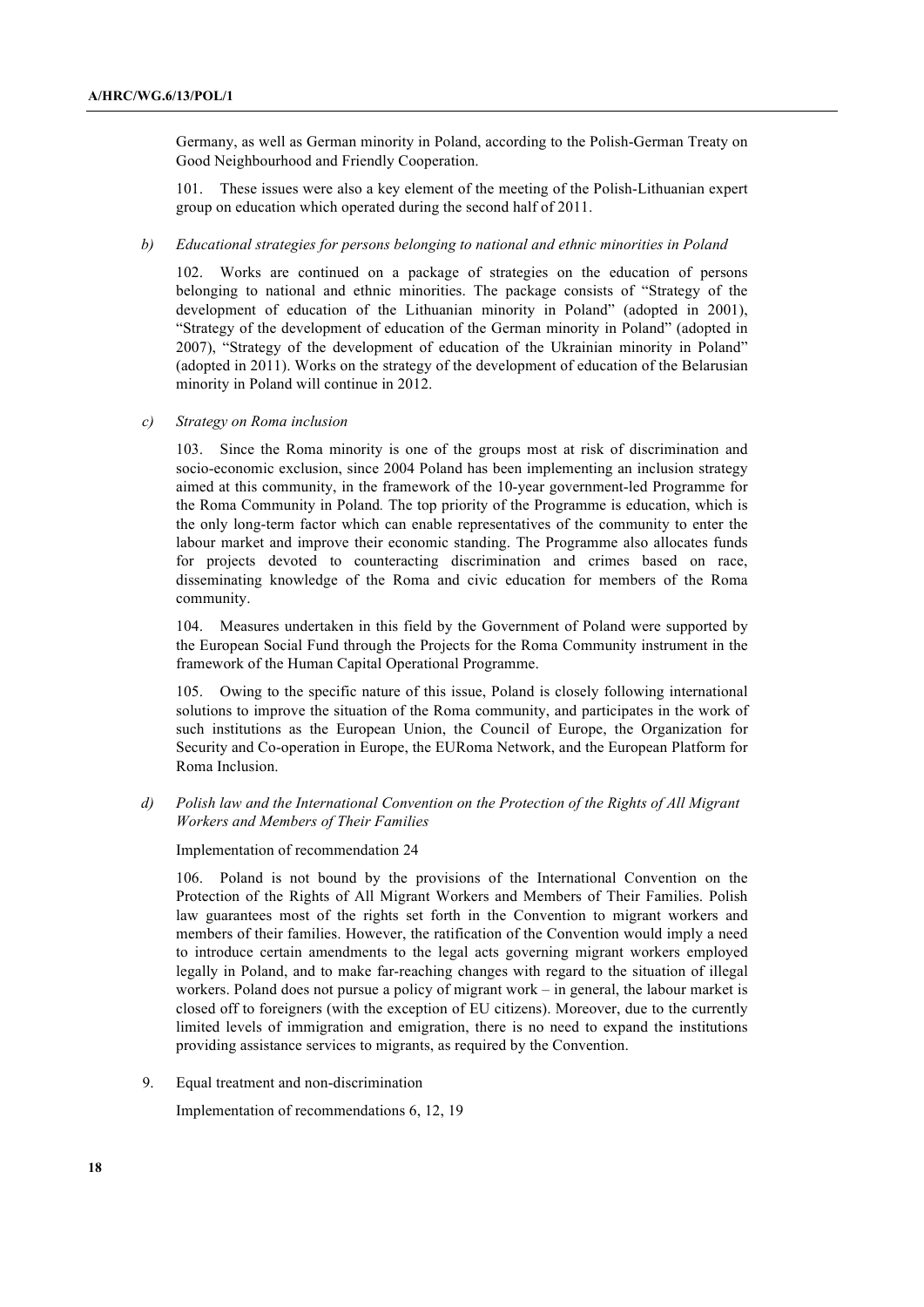Germany, as well as German minority in Poland, according to the Polish-German Treaty on Good Neighbourhood and Friendly Cooperation.

101. These issues were also a key element of the meeting of the Polish-Lithuanian expert group on education which operated during the second half of 2011.

#### *b) Educational strategies for persons belonging to national and ethnic minorities in Poland*

102. Works are continued on a package of strategies on the education of persons belonging to national and ethnic minorities. The package consists of "Strategy of the development of education of the Lithuanian minority in Poland" (adopted in 2001), "Strategy of the development of education of the German minority in Poland" (adopted in 2007), "Strategy of the development of education of the Ukrainian minority in Poland" (adopted in 2011). Works on the strategy of the development of education of the Belarusian minority in Poland will continue in 2012.

*c) Strategy on Roma inclusion*

103. Since the Roma minority is one of the groups most at risk of discrimination and socio-economic exclusion, since 2004 Poland has been implementing an inclusion strategy aimed at this community, in the framework of the 10-year government-led Programme for the Roma Community in Poland*.* The top priority of the Programme is education, which is the only long-term factor which can enable representatives of the community to enter the labour market and improve their economic standing. The Programme also allocates funds for projects devoted to counteracting discrimination and crimes based on race, disseminating knowledge of the Roma and civic education for members of the Roma community.

104. Measures undertaken in this field by the Government of Poland were supported by the European Social Fund through the Projects for the Roma Community instrument in the framework of the Human Capital Operational Programme.

105. Owing to the specific nature of this issue, Poland is closely following international solutions to improve the situation of the Roma community, and participates in the work of such institutions as the European Union, the Council of Europe, the Organization for Security and Co-operation in Europe, the EURoma Network, and the European Platform for Roma Inclusion.

*d) Polish law and the International Convention on the Protection of the Rights of All Migrant Workers and Members of Their Families*

Implementation of recommendation 24

106. Poland is not bound by the provisions of the International Convention on the Protection of the Rights of All Migrant Workers and Members of Their Families. Polish law guarantees most of the rights set forth in the Convention to migrant workers and members of their families. However, the ratification of the Convention would imply a need to introduce certain amendments to the legal acts governing migrant workers employed legally in Poland, and to make far-reaching changes with regard to the situation of illegal workers. Poland does not pursue a policy of migrant work – in general, the labour market is closed off to foreigners (with the exception of EU citizens). Moreover, due to the currently limited levels of immigration and emigration, there is no need to expand the institutions providing assistance services to migrants, as required by the Convention.

9. Equal treatment and non-discrimination

Implementation of recommendations 6, 12, 19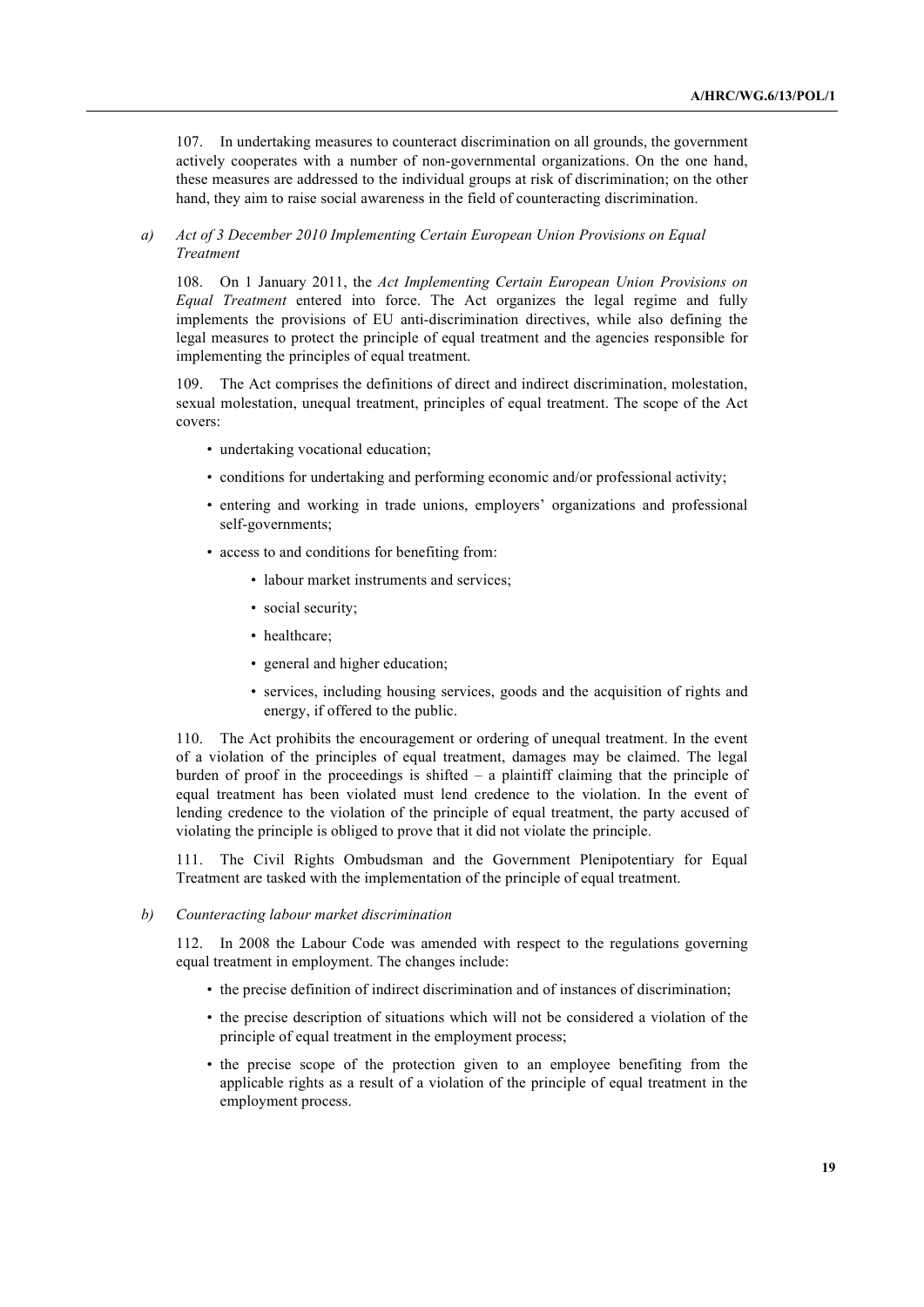107. In undertaking measures to counteract discrimination on all grounds, the government actively cooperates with a number of non-governmental organizations. On the one hand, these measures are addressed to the individual groups at risk of discrimination; on the other hand, they aim to raise social awareness in the field of counteracting discrimination.

# *a) Act of 3 December 2010 Implementing Certain European Union Provisions on Equal Treatment*

108. On 1 January 2011, the *Act Implementing Certain European Union Provisions on Equal Treatment* entered into force. The Act organizes the legal regime and fully implements the provisions of EU anti-discrimination directives, while also defining the legal measures to protect the principle of equal treatment and the agencies responsible for implementing the principles of equal treatment.

109. The Act comprises the definitions of direct and indirect discrimination, molestation, sexual molestation, unequal treatment, principles of equal treatment. The scope of the Act covers:

- undertaking vocational education;
- conditions for undertaking and performing economic and/or professional activity;
- entering and working in trade unions, employers' organizations and professional self-governments;
- access to and conditions for benefiting from:
	- labour market instruments and services;
	- social security;
	- healthcare;
	- general and higher education;
	- services, including housing services, goods and the acquisition of rights and energy, if offered to the public.

110. The Act prohibits the encouragement or ordering of unequal treatment. In the event of a violation of the principles of equal treatment, damages may be claimed. The legal burden of proof in the proceedings is shifted – a plaintiff claiming that the principle of equal treatment has been violated must lend credence to the violation. In the event of lending credence to the violation of the principle of equal treatment, the party accused of violating the principle is obliged to prove that it did not violate the principle.

111. The Civil Rights Ombudsman and the Government Plenipotentiary for Equal Treatment are tasked with the implementation of the principle of equal treatment.

### *b) Counteracting labour market discrimination*

112. In 2008 the Labour Code was amended with respect to the regulations governing equal treatment in employment. The changes include:

- the precise definition of indirect discrimination and of instances of discrimination;
- the precise description of situations which will not be considered a violation of the principle of equal treatment in the employment process;
- the precise scope of the protection given to an employee benefiting from the applicable rights as a result of a violation of the principle of equal treatment in the employment process.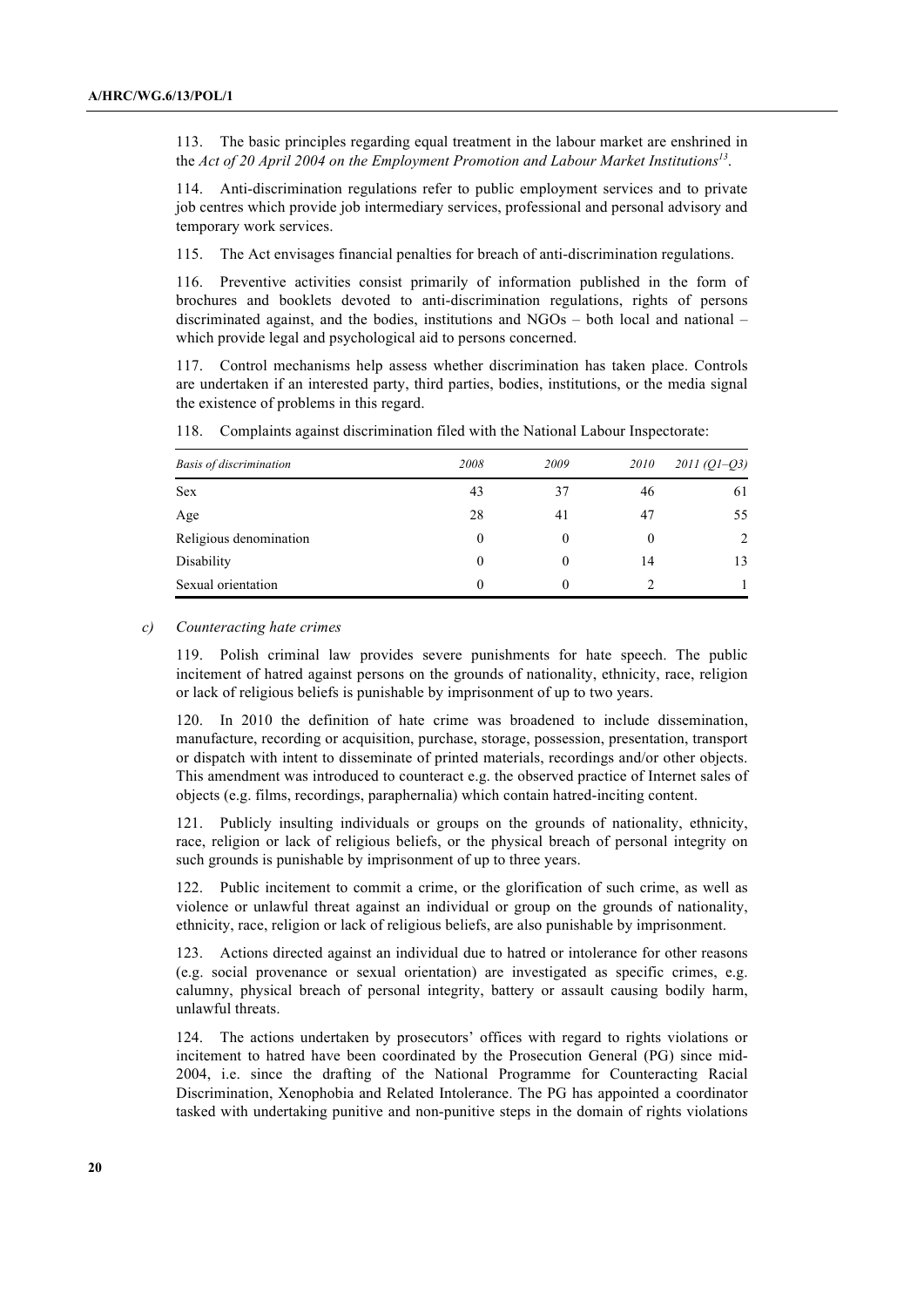113. The basic principles regarding equal treatment in the labour market are enshrined in the *Act of 20 April 2004 on the Employment Promotion and Labour Market Institutions13*.

114. Anti-discrimination regulations refer to public employment services and to private job centres which provide job intermediary services, professional and personal advisory and temporary work services.

115. The Act envisages financial penalties for breach of anti-discrimination regulations.

116. Preventive activities consist primarily of information published in the form of brochures and booklets devoted to anti-discrimination regulations, rights of persons discriminated against, and the bodies, institutions and NGOs – both local and national – which provide legal and psychological aid to persons concerned.

117. Control mechanisms help assess whether discrimination has taken place. Controls are undertaken if an interested party, third parties, bodies, institutions, or the media signal the existence of problems in this regard.

| <b>Basis of discrimination</b> | 2008     | 2009     | 2010 | $2011 (Q1 - Q3)$ |
|--------------------------------|----------|----------|------|------------------|
| Sex                            | 43       | 37       | 46   | 61               |
| Age                            | 28       | 41       | 47   | 55               |
| Religious denomination         | $\theta$ | $\theta$ | 0    | 2                |
| Disability                     | $\theta$ | $\theta$ | 14   | 13               |
| Sexual orientation             | 0        | $\Omega$ |      |                  |

118. Complaints against discrimination filed with the National Labour Inspectorate:

#### *c) Counteracting hate crimes*

119. Polish criminal law provides severe punishments for hate speech. The public incitement of hatred against persons on the grounds of nationality, ethnicity, race, religion or lack of religious beliefs is punishable by imprisonment of up to two years.

120. In 2010 the definition of hate crime was broadened to include dissemination, manufacture, recording or acquisition, purchase, storage, possession, presentation, transport or dispatch with intent to disseminate of printed materials, recordings and/or other objects. This amendment was introduced to counteract e.g. the observed practice of Internet sales of objects (e.g. films, recordings, paraphernalia) which contain hatred-inciting content.

121. Publicly insulting individuals or groups on the grounds of nationality, ethnicity, race, religion or lack of religious beliefs, or the physical breach of personal integrity on such grounds is punishable by imprisonment of up to three years.

122. Public incitement to commit a crime, or the glorification of such crime, as well as violence or unlawful threat against an individual or group on the grounds of nationality, ethnicity, race, religion or lack of religious beliefs, are also punishable by imprisonment.

123. Actions directed against an individual due to hatred or intolerance for other reasons (e.g. social provenance or sexual orientation) are investigated as specific crimes, e.g. calumny, physical breach of personal integrity, battery or assault causing bodily harm, unlawful threats.

124. The actions undertaken by prosecutors' offices with regard to rights violations or incitement to hatred have been coordinated by the Prosecution General (PG) since mid-2004, i.e. since the drafting of the National Programme for Counteracting Racial Discrimination, Xenophobia and Related Intolerance. The PG has appointed a coordinator tasked with undertaking punitive and non-punitive steps in the domain of rights violations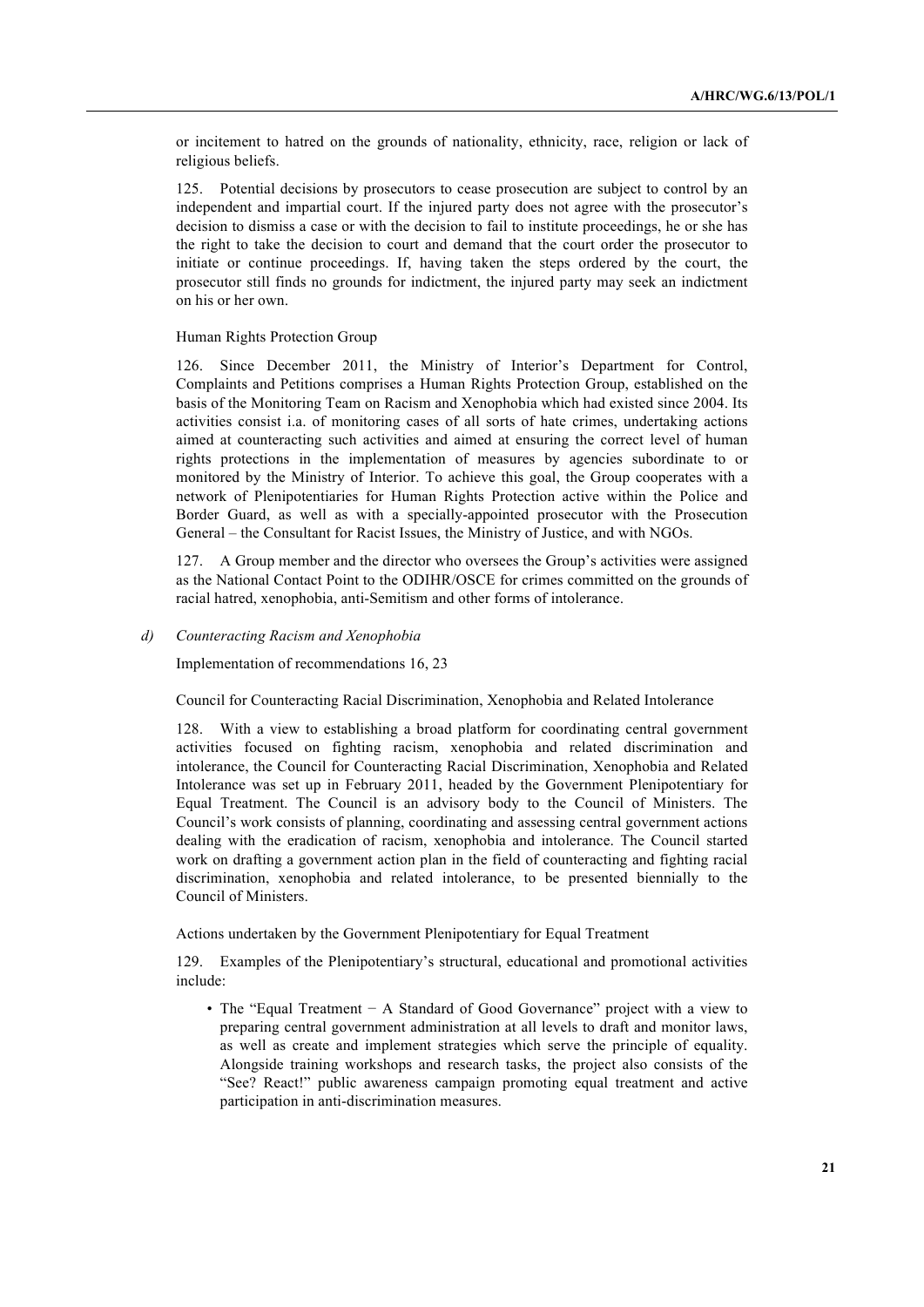or incitement to hatred on the grounds of nationality, ethnicity, race, religion or lack of religious beliefs.

125. Potential decisions by prosecutors to cease prosecution are subject to control by an independent and impartial court. If the injured party does not agree with the prosecutor's decision to dismiss a case or with the decision to fail to institute proceedings, he or she has the right to take the decision to court and demand that the court order the prosecutor to initiate or continue proceedings. If, having taken the steps ordered by the court, the prosecutor still finds no grounds for indictment, the injured party may seek an indictment on his or her own.

# Human Rights Protection Group

126. Since December 2011, the Ministry of Interior's Department for Control, Complaints and Petitions comprises a Human Rights Protection Group, established on the basis of the Monitoring Team on Racism and Xenophobia which had existed since 2004. Its activities consist i.a. of monitoring cases of all sorts of hate crimes, undertaking actions aimed at counteracting such activities and aimed at ensuring the correct level of human rights protections in the implementation of measures by agencies subordinate to or monitored by the Ministry of Interior. To achieve this goal, the Group cooperates with a network of Plenipotentiaries for Human Rights Protection active within the Police and Border Guard, as well as with a specially-appointed prosecutor with the Prosecution General – the Consultant for Racist Issues, the Ministry of Justice, and with NGOs.

127. A Group member and the director who oversees the Group's activities were assigned as the National Contact Point to the ODIHR/OSCE for crimes committed on the grounds of racial hatred, xenophobia, anti-Semitism and other forms of intolerance.

*d) Counteracting Racism and Xenophobia*

Implementation of recommendations 16, 23

Council for Counteracting Racial Discrimination, Xenophobia and Related Intolerance

128. With a view to establishing a broad platform for coordinating central government activities focused on fighting racism, xenophobia and related discrimination and intolerance, the Council for Counteracting Racial Discrimination, Xenophobia and Related Intolerance was set up in February 2011, headed by the Government Plenipotentiary for Equal Treatment. The Council is an advisory body to the Council of Ministers. The Council's work consists of planning, coordinating and assessing central government actions dealing with the eradication of racism, xenophobia and intolerance. The Council started work on drafting a government action plan in the field of counteracting and fighting racial discrimination, xenophobia and related intolerance, to be presented biennially to the Council of Ministers.

Actions undertaken by the Government Plenipotentiary for Equal Treatment

129. Examples of the Plenipotentiary's structural, educational and promotional activities include:

• The "Equal Treatment − A Standard of Good Governance" project with a view to preparing central government administration at all levels to draft and monitor laws, as well as create and implement strategies which serve the principle of equality. Alongside training workshops and research tasks, the project also consists of the "See? React!" public awareness campaign promoting equal treatment and active participation in anti-discrimination measures.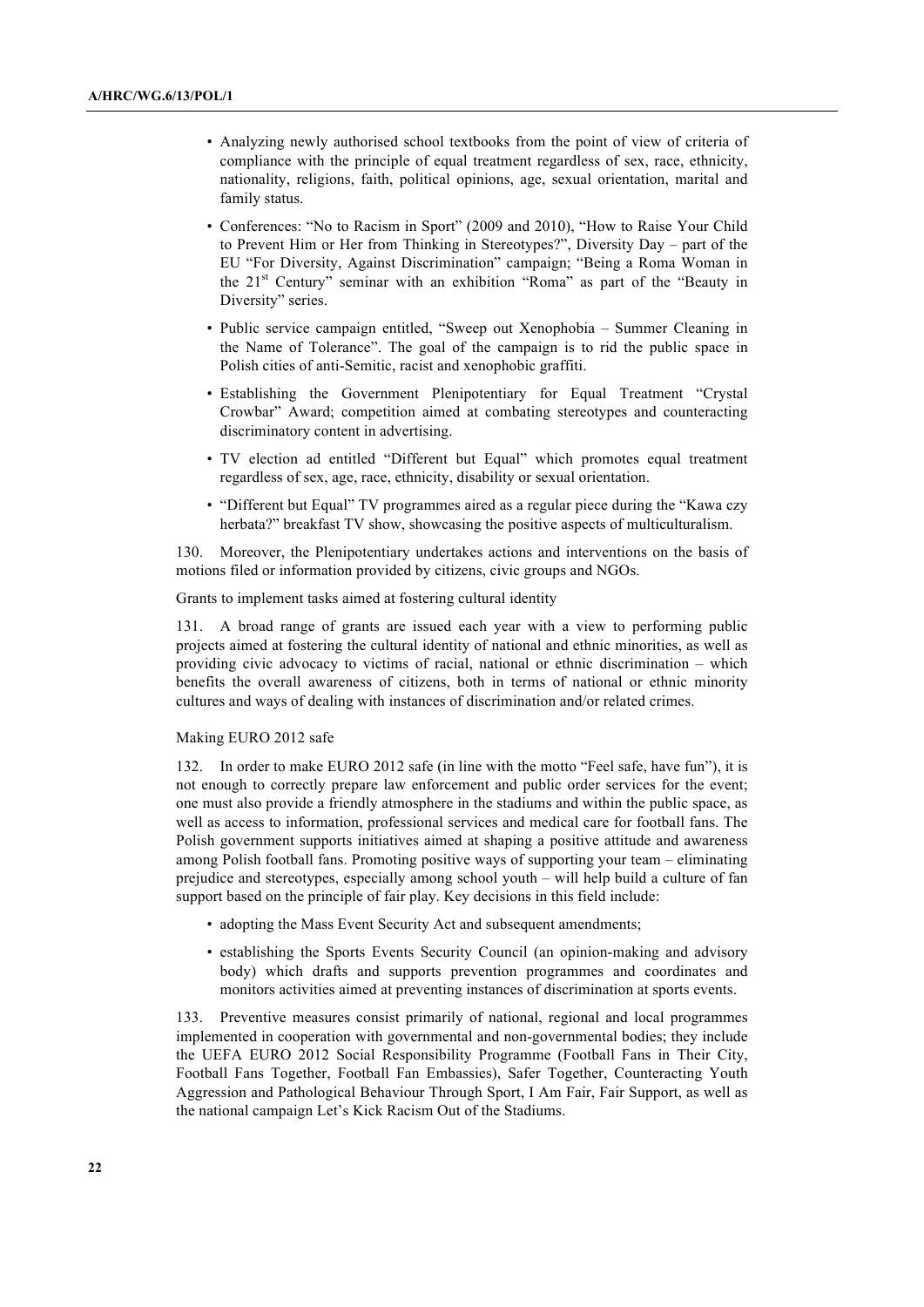- Analyzing newly authorised school textbooks from the point of view of criteria of compliance with the principle of equal treatment regardless of sex, race, ethnicity, nationality, religions, faith, political opinions, age, sexual orientation, marital and family status.
- Conferences: "No to Racism in Sport" (2009 and 2010), "How to Raise Your Child to Prevent Him or Her from Thinking in Stereotypes?", Diversity Day – part of the EU "For Diversity, Against Discrimination" campaign; "Being a Roma Woman in the 21<sup>st</sup> Century" seminar with an exhibition "Roma" as part of the "Beauty in Diversity" series.
- Public service campaign entitled, "Sweep out Xenophobia Summer Cleaning in the Name of Tolerance". The goal of the campaign is to rid the public space in Polish cities of anti-Semitic, racist and xenophobic graffiti.
- Establishing the Government Plenipotentiary for Equal Treatment "Crystal Crowbar" Award; competition aimed at combating stereotypes and counteracting discriminatory content in advertising.
- TV election ad entitled "Different but Equal" which promotes equal treatment regardless of sex, age, race, ethnicity, disability or sexual orientation.
- "Different but Equal" TV programmes aired as a regular piece during the "Kawa czy herbata?" breakfast TV show, showcasing the positive aspects of multiculturalism.

130. Moreover, the Plenipotentiary undertakes actions and interventions on the basis of motions filed or information provided by citizens, civic groups and NGOs.

Grants to implement tasks aimed at fostering cultural identity

131. A broad range of grants are issued each year with a view to performing public projects aimed at fostering the cultural identity of national and ethnic minorities, as well as providing civic advocacy to victims of racial, national or ethnic discrimination – which benefits the overall awareness of citizens, both in terms of national or ethnic minority cultures and ways of dealing with instances of discrimination and/or related crimes.

### Making EURO 2012 safe

In order to make EURO 2012 safe (in line with the motto "Feel safe, have fun"), it is not enough to correctly prepare law enforcement and public order services for the event; one must also provide a friendly atmosphere in the stadiums and within the public space, as well as access to information, professional services and medical care for football fans. The Polish government supports initiatives aimed at shaping a positive attitude and awareness among Polish football fans. Promoting positive ways of supporting your team – eliminating prejudice and stereotypes, especially among school youth – will help build a culture of fan support based on the principle of fair play. Key decisions in this field include:

- adopting the Mass Event Security Act and subsequent amendments;
- establishing the Sports Events Security Council (an opinion-making and advisory body) which drafts and supports prevention programmes and coordinates and monitors activities aimed at preventing instances of discrimination at sports events.

133. Preventive measures consist primarily of national, regional and local programmes implemented in cooperation with governmental and non-governmental bodies; they include the UEFA EURO 2012 Social Responsibility Programme (Football Fans in Their City, Football Fans Together, Football Fan Embassies), Safer Together, Counteracting Youth Aggression and Pathological Behaviour Through Sport, I Am Fair, Fair Support, as well as the national campaign Let's Kick Racism Out of the Stadiums.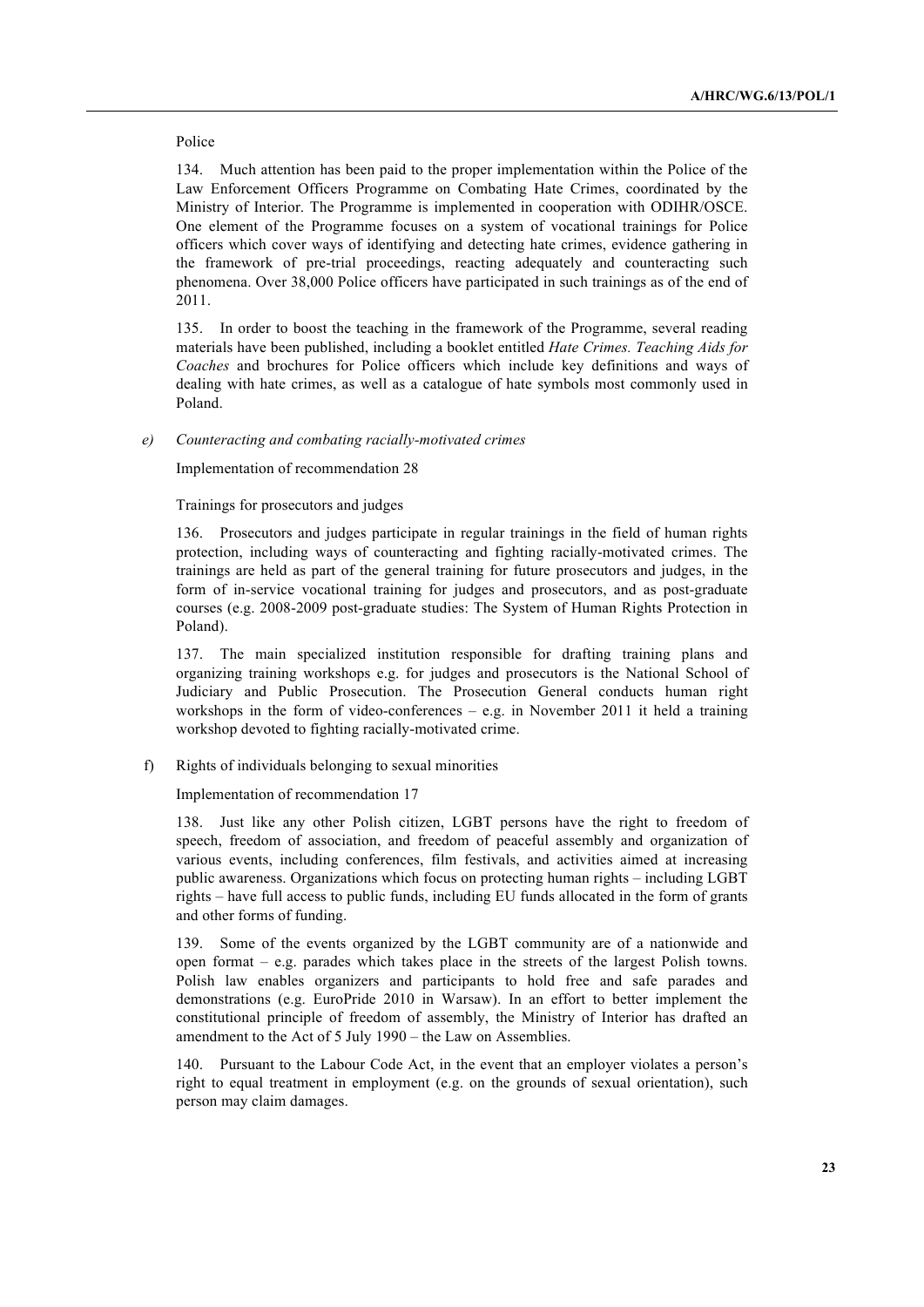#### Police

134. Much attention has been paid to the proper implementation within the Police of the Law Enforcement Officers Programme on Combating Hate Crimes, coordinated by the Ministry of Interior. The Programme is implemented in cooperation with ODIHR/OSCE. One element of the Programme focuses on a system of vocational trainings for Police officers which cover ways of identifying and detecting hate crimes, evidence gathering in the framework of pre-trial proceedings, reacting adequately and counteracting such phenomena. Over 38,000 Police officers have participated in such trainings as of the end of 2011.

135. In order to boost the teaching in the framework of the Programme, several reading materials have been published, including a booklet entitled *Hate Crimes. Teaching Aids for Coaches* and brochures for Police officers which include key definitions and ways of dealing with hate crimes, as well as a catalogue of hate symbols most commonly used in Poland.

#### *e) Counteracting and combating racially-motivated crimes*

Implementation of recommendation 28

Trainings for prosecutors and judges

136. Prosecutors and judges participate in regular trainings in the field of human rights protection, including ways of counteracting and fighting racially-motivated crimes. The trainings are held as part of the general training for future prosecutors and judges, in the form of in-service vocational training for judges and prosecutors, and as post-graduate courses (e.g. 2008-2009 post-graduate studies: The System of Human Rights Protection in Poland).

137. The main specialized institution responsible for drafting training plans and organizing training workshops e.g. for judges and prosecutors is the National School of Judiciary and Public Prosecution. The Prosecution General conducts human right workshops in the form of video-conferences – e.g. in November 2011 it held a training workshop devoted to fighting racially-motivated crime.

f) Rights of individuals belonging to sexual minorities

Implementation of recommendation 17

138. Just like any other Polish citizen, LGBT persons have the right to freedom of speech, freedom of association, and freedom of peaceful assembly and organization of various events, including conferences, film festivals, and activities aimed at increasing public awareness. Organizations which focus on protecting human rights – including LGBT rights – have full access to public funds, including EU funds allocated in the form of grants and other forms of funding.

139. Some of the events organized by the LGBT community are of a nationwide and open format  $-$  e.g. parades which takes place in the streets of the largest Polish towns. Polish law enables organizers and participants to hold free and safe parades and demonstrations (e.g. EuroPride 2010 in Warsaw). In an effort to better implement the constitutional principle of freedom of assembly, the Ministry of Interior has drafted an amendment to the Act of 5 July 1990 – the Law on Assemblies.

140. Pursuant to the Labour Code Act, in the event that an employer violates a person's right to equal treatment in employment (e.g. on the grounds of sexual orientation), such person may claim damages.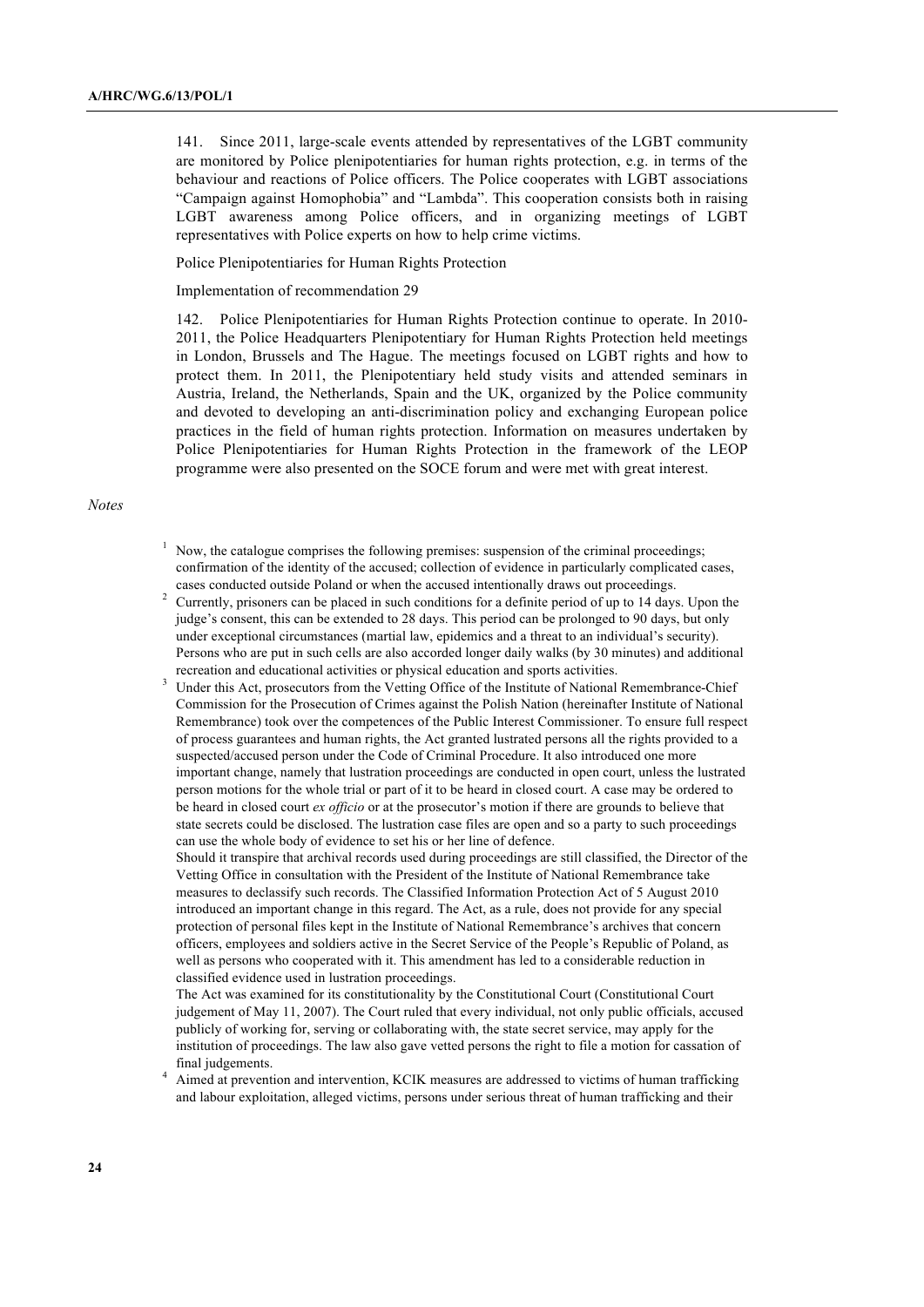141. Since 2011, large-scale events attended by representatives of the LGBT community are monitored by Police plenipotentiaries for human rights protection, e.g. in terms of the behaviour and reactions of Police officers. The Police cooperates with LGBT associations "Campaign against Homophobia" and "Lambda". This cooperation consists both in raising LGBT awareness among Police officers, and in organizing meetings of LGBT representatives with Police experts on how to help crime victims.

Police Plenipotentiaries for Human Rights Protection

Implementation of recommendation 29

142. Police Plenipotentiaries for Human Rights Protection continue to operate. In 2010- 2011, the Police Headquarters Plenipotentiary for Human Rights Protection held meetings in London, Brussels and The Hague. The meetings focused on LGBT rights and how to protect them. In 2011, the Plenipotentiary held study visits and attended seminars in Austria, Ireland, the Netherlands, Spain and the UK, organized by the Police community and devoted to developing an anti-discrimination policy and exchanging European police practices in the field of human rights protection. Information on measures undertaken by Police Plenipotentiaries for Human Rights Protection in the framework of the LEOP programme were also presented on the SOCE forum and were met with great interest.

#### *Notes*

- $1$  Now, the catalogue comprises the following premises: suspension of the criminal proceedings; confirmation of the identity of the accused; collection of evidence in particularly complicated cases, cases conducted outside Poland or when the accused intentionally draws out proceedings.
- <sup>2</sup> Currently, prisoners can be placed in such conditions for a definite period of up to 14 days. Upon the judge's consent, this can be extended to 28 days. This period can be prolonged to 90 days, but only under exceptional circumstances (martial law, epidemics and a threat to an individual's security). Persons who are put in such cells are also accorded longer daily walks (by 30 minutes) and additional recreation and educational activities or physical education and sports activities.
- <sup>3</sup> Under this Act, prosecutors from the Vetting Office of the Institute of National Remembrance-Chief Commission for the Prosecution of Crimes against the Polish Nation (hereinafter Institute of National Remembrance) took over the competences of the Public Interest Commissioner. To ensure full respect of process guarantees and human rights, the Act granted lustrated persons all the rights provided to a suspected/accused person under the Code of Criminal Procedure. It also introduced one more important change, namely that lustration proceedings are conducted in open court, unless the lustrated person motions for the whole trial or part of it to be heard in closed court. A case may be ordered to be heard in closed court *ex officio* or at the prosecutor's motion if there are grounds to believe that state secrets could be disclosed. The lustration case files are open and so a party to such proceedings can use the whole body of evidence to set his or her line of defence.

Should it transpire that archival records used during proceedings are still classified, the Director of the Vetting Office in consultation with the President of the Institute of National Remembrance take measures to declassify such records. The Classified Information Protection Act of 5 August 2010 introduced an important change in this regard. The Act, as a rule, does not provide for any special protection of personal files kept in the Institute of National Remembrance's archives that concern officers, employees and soldiers active in the Secret Service of the People's Republic of Poland, as well as persons who cooperated with it. This amendment has led to a considerable reduction in classified evidence used in lustration proceedings.

The Act was examined for its constitutionality by the Constitutional Court (Constitutional Court judgement of May 11, 2007). The Court ruled that every individual, not only public officials, accused publicly of working for, serving or collaborating with, the state secret service, may apply for the institution of proceedings. The law also gave vetted persons the right to file a motion for cassation of final judgements.

<sup>4</sup> Aimed at prevention and intervention, KCIK measures are addressed to victims of human trafficking and labour exploitation, alleged victims, persons under serious threat of human trafficking and their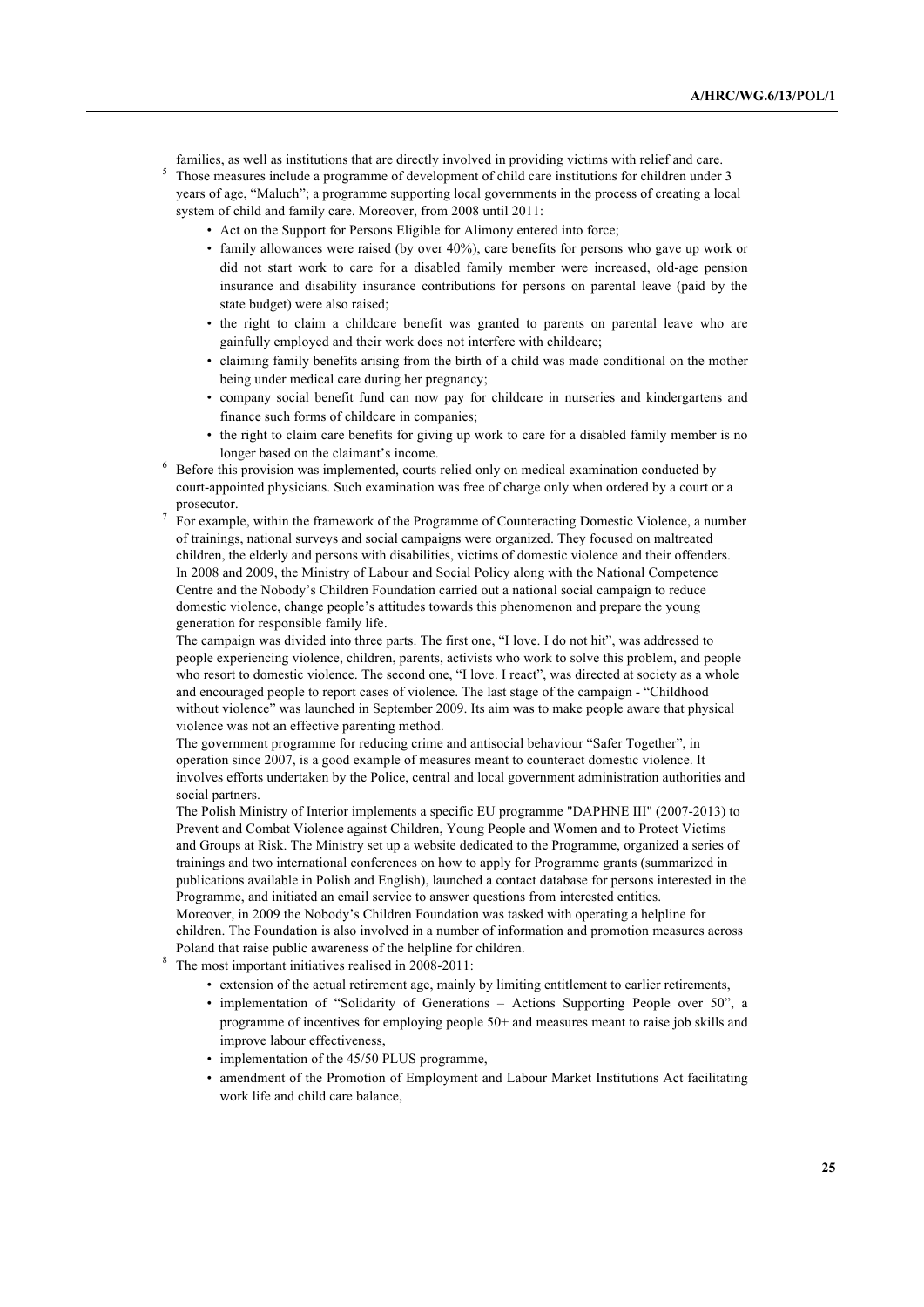families, as well as institutions that are directly involved in providing victims with relief and care.

<sup>5</sup> Those measures include a programme of development of child care institutions for children under 3 years of age, "Maluch"; a programme supporting local governments in the process of creating a local system of child and family care. Moreover, from 2008 until 2011:

- Act on the Support for Persons Eligible for Alimony entered into force;
- family allowances were raised (by over 40%), care benefits for persons who gave up work or did not start work to care for a disabled family member were increased, old-age pension insurance and disability insurance contributions for persons on parental leave (paid by the state budget) were also raised;
- the right to claim a childcare benefit was granted to parents on parental leave who are gainfully employed and their work does not interfere with childcare;
- claiming family benefits arising from the birth of a child was made conditional on the mother being under medical care during her pregnancy;
- company social benefit fund can now pay for childcare in nurseries and kindergartens and finance such forms of childcare in companies;
- the right to claim care benefits for giving up work to care for a disabled family member is no longer based on the claimant's income.<br><sup>6</sup> Before this provision was implemented, courts relied only on medical examination conducted by
- court-appointed physicians. Such examination was free of charge only when ordered by a court or a prosecutor.

<sup>7</sup> For example, within the framework of the Programme of Counteracting Domestic Violence, a number of trainings, national surveys and social campaigns were organized. They focused on maltreated children, the elderly and persons with disabilities, victims of domestic violence and their offenders. In 2008 and 2009, the Ministry of Labour and Social Policy along with the National Competence Centre and the Nobody's Children Foundation carried out a national social campaign to reduce domestic violence, change people's attitudes towards this phenomenon and prepare the young generation for responsible family life.

The campaign was divided into three parts. The first one, "I love. I do not hit", was addressed to people experiencing violence, children, parents, activists who work to solve this problem, and people who resort to domestic violence. The second one, "I love. I react", was directed at society as a whole and encouraged people to report cases of violence. The last stage of the campaign - "Childhood without violence" was launched in September 2009. Its aim was to make people aware that physical violence was not an effective parenting method.

The government programme for reducing crime and antisocial behaviour "Safer Together", in operation since 2007, is a good example of measures meant to counteract domestic violence. It involves efforts undertaken by the Police, central and local government administration authorities and social partners.

The Polish Ministry of Interior implements a specific EU programme "DAPHNE III" (2007-2013) to Prevent and Combat Violence against Children, Young People and Women and to Protect Victims and Groups at Risk. The Ministry set up a website dedicated to the Programme, organized a series of trainings and two international conferences on how to apply for Programme grants (summarized in publications available in Polish and English), launched a contact database for persons interested in the Programme, and initiated an email service to answer questions from interested entities.

Moreover, in 2009 the Nobody's Children Foundation was tasked with operating a helpline for children. The Foundation is also involved in a number of information and promotion measures across Poland that raise public awareness of the helpline for children.

<sup>8</sup> The most important initiatives realised in 2008-2011:

- extension of the actual retirement age, mainly by limiting entitlement to earlier retirements,
- implementation of "Solidarity of Generations Actions Supporting People over 50", a programme of incentives for employing people 50+ and measures meant to raise job skills and improve labour effectiveness,
- implementation of the 45/50 PLUS programme,
- amendment of the Promotion of Employment and Labour Market Institutions Act facilitating work life and child care balance,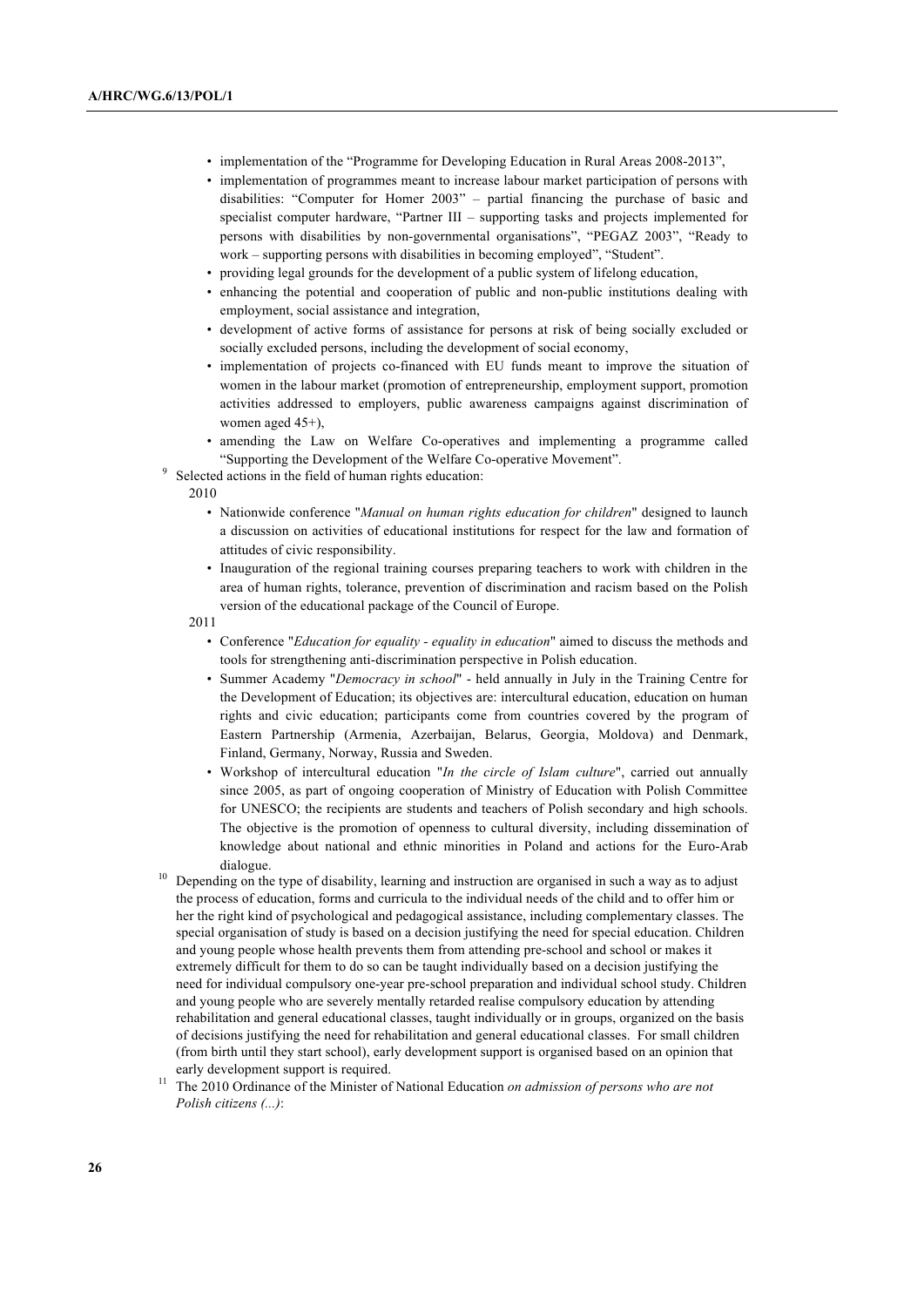- implementation of the "Programme for Developing Education in Rural Areas 2008-2013",
- implementation of programmes meant to increase labour market participation of persons with disabilities: "Computer for Homer 2003" – partial financing the purchase of basic and specialist computer hardware, "Partner III – supporting tasks and projects implemented for persons with disabilities by non-governmental organisations", "PEGAZ 2003", "Ready to work – supporting persons with disabilities in becoming employed", "Student".
- providing legal grounds for the development of a public system of lifelong education,
- enhancing the potential and cooperation of public and non-public institutions dealing with employment, social assistance and integration,
- development of active forms of assistance for persons at risk of being socially excluded or socially excluded persons, including the development of social economy,
- implementation of projects co-financed with EU funds meant to improve the situation of women in the labour market (promotion of entrepreneurship, employment support, promotion activities addressed to employers, public awareness campaigns against discrimination of women aged 45+),
- amending the Law on Welfare Co-operatives and implementing a programme called "Supporting the Development of the Welfare Co-operative Movement". <sup>9</sup> Selected actions in the field of human rights education:
- - 2010
		- Nationwide conference "*Manual on human rights education for children*" designed to launch a discussion on activities of educational institutions for respect for the law and formation of attitudes of civic responsibility.
		- Inauguration of the regional training courses preparing teachers to work with children in the area of human rights, tolerance, prevention of discrimination and racism based on the Polish version of the educational package of the Council of Europe.
	- 2011
		- Conference "*Education for equality equality in education*" aimed to discuss the methods and tools for strengthening anti-discrimination perspective in Polish education.
		- Summer Academy "*Democracy in school*" held annually in July in the Training Centre for the Development of Education; its objectives are: intercultural education, education on human rights and civic education; participants come from countries covered by the program of Eastern Partnership (Armenia, Azerbaijan, Belarus, Georgia, Moldova) and Denmark, Finland, Germany, Norway, Russia and Sweden.
- Workshop of intercultural education "*In the circle of Islam culture*", carried out annually since 2005, as part of ongoing cooperation of Ministry of Education with Polish Committee for UNESCO; the recipients are students and teachers of Polish secondary and high schools. The objective is the promotion of openness to cultural diversity, including dissemination of knowledge about national and ethnic minorities in Poland and actions for the Euro-Arab dialogue.<br><sup>10</sup> Depending on the type of disability, learning and instruction are organised in such a way as to adjust
- the process of education, forms and curricula to the individual needs of the child and to offer him or her the right kind of psychological and pedagogical assistance, including complementary classes. The special organisation of study is based on a decision justifying the need for special education. Children and young people whose health prevents them from attending pre-school and school or makes it extremely difficult for them to do so can be taught individually based on a decision justifying the need for individual compulsory one-year pre-school preparation and individual school study. Children and young people who are severely mentally retarded realise compulsory education by attending rehabilitation and general educational classes, taught individually or in groups, organized on the basis of decisions justifying the need for rehabilitation and general educational classes. For small children (from birth until they start school), early development support is organised based on an opinion that early development support is required.
- <sup>11</sup> The 2010 Ordinance of the Minister of National Education *on admission of persons who are not Polish citizens (...)*: